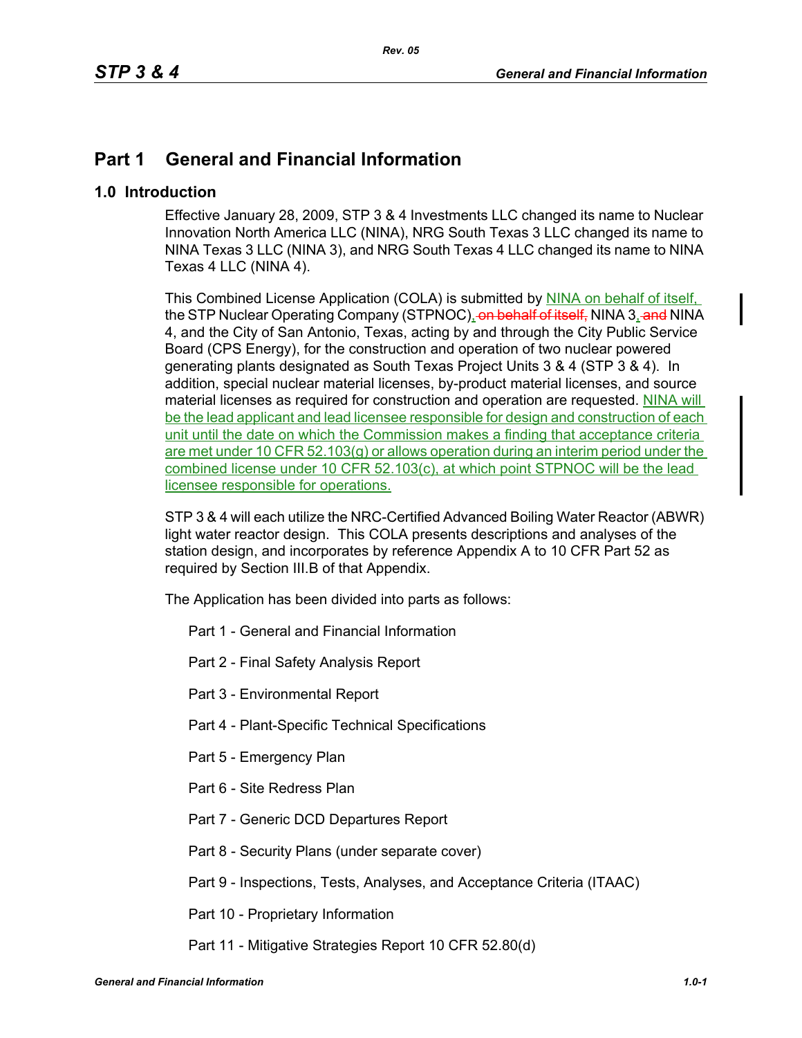# **Part 1 General and Financial Information**

# **1.0 Introduction**

Effective January 28, 2009, STP 3 & 4 Investments LLC changed its name to Nuclear Innovation North America LLC (NINA), NRG South Texas 3 LLC changed its name to NINA Texas 3 LLC (NINA 3), and NRG South Texas 4 LLC changed its name to NINA Texas 4 LLC (NINA 4).

This Combined License Application (COLA) is submitted by NINA on behalf of itself, the STP Nuclear Operating Company (STPNOC), on behalf of itself. NINA 3, and NINA 4, and the City of San Antonio, Texas, acting by and through the City Public Service Board (CPS Energy), for the construction and operation of two nuclear powered generating plants designated as South Texas Project Units 3 & 4 (STP 3 & 4). In addition, special nuclear material licenses, by-product material licenses, and source material licenses as required for construction and operation are requested. NINA will be the lead applicant and lead licensee responsible for design and construction of each unit until the date on which the Commission makes a finding that acceptance criteria are met under 10 CFR 52.103(g) or allows operation during an interim period under the combined license under 10 CFR 52.103(c), at which point STPNOC will be the lead licensee responsible for operations.

STP 3 & 4 will each utilize the NRC-Certified Advanced Boiling Water Reactor (ABWR) light water reactor design. This COLA presents descriptions and analyses of the station design, and incorporates by reference Appendix A to 10 CFR Part 52 as required by Section III.B of that Appendix.

The Application has been divided into parts as follows:

- Part 1 General and Financial Information
- Part 2 Final Safety Analysis Report
- Part 3 Environmental Report
- Part 4 Plant-Specific Technical Specifications
- Part 5 Emergency Plan
- Part 6 Site Redress Plan
- Part 7 Generic DCD Departures Report
- Part 8 Security Plans (under separate cover)
- Part 9 Inspections, Tests, Analyses, and Acceptance Criteria (ITAAC)
- Part 10 Proprietary Information
- Part 11 Mitigative Strategies Report 10 CFR 52.80(d)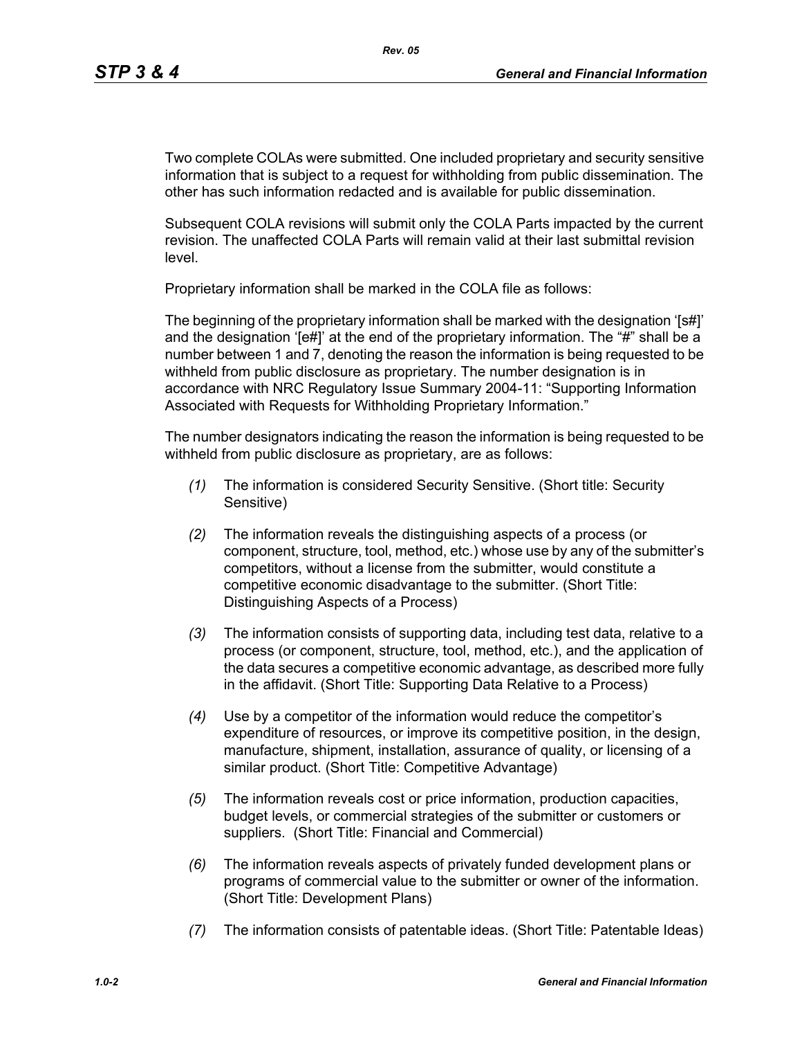Two complete COLAs were submitted. One included proprietary and security sensitive information that is subject to a request for withholding from public dissemination. The other has such information redacted and is available for public dissemination.

Subsequent COLA revisions will submit only the COLA Parts impacted by the current revision. The unaffected COLA Parts will remain valid at their last submittal revision level.

Proprietary information shall be marked in the COLA file as follows:

The beginning of the proprietary information shall be marked with the designation '[s#]' and the designation '[e#]' at the end of the proprietary information. The "#" shall be a number between 1 and 7, denoting the reason the information is being requested to be withheld from public disclosure as proprietary. The number designation is in accordance with NRC Regulatory Issue Summary 2004-11: "Supporting Information Associated with Requests for Withholding Proprietary Information."

The number designators indicating the reason the information is being requested to be withheld from public disclosure as proprietary, are as follows:

- *(1)* The information is considered Security Sensitive. (Short title: Security Sensitive)
- *(2)* The information reveals the distinguishing aspects of a process (or component, structure, tool, method, etc.) whose use by any of the submitter's competitors, without a license from the submitter, would constitute a competitive economic disadvantage to the submitter. (Short Title: Distinguishing Aspects of a Process)
- *(3)* The information consists of supporting data, including test data, relative to a process (or component, structure, tool, method, etc.), and the application of the data secures a competitive economic advantage, as described more fully in the affidavit. (Short Title: Supporting Data Relative to a Process)
- *(4)* Use by a competitor of the information would reduce the competitor's expenditure of resources, or improve its competitive position, in the design, manufacture, shipment, installation, assurance of quality, or licensing of a similar product. (Short Title: Competitive Advantage)
- *(5)* The information reveals cost or price information, production capacities, budget levels, or commercial strategies of the submitter or customers or suppliers. (Short Title: Financial and Commercial)
- *(6)* The information reveals aspects of privately funded development plans or programs of commercial value to the submitter or owner of the information. (Short Title: Development Plans)
- *(7)* The information consists of patentable ideas. (Short Title: Patentable Ideas)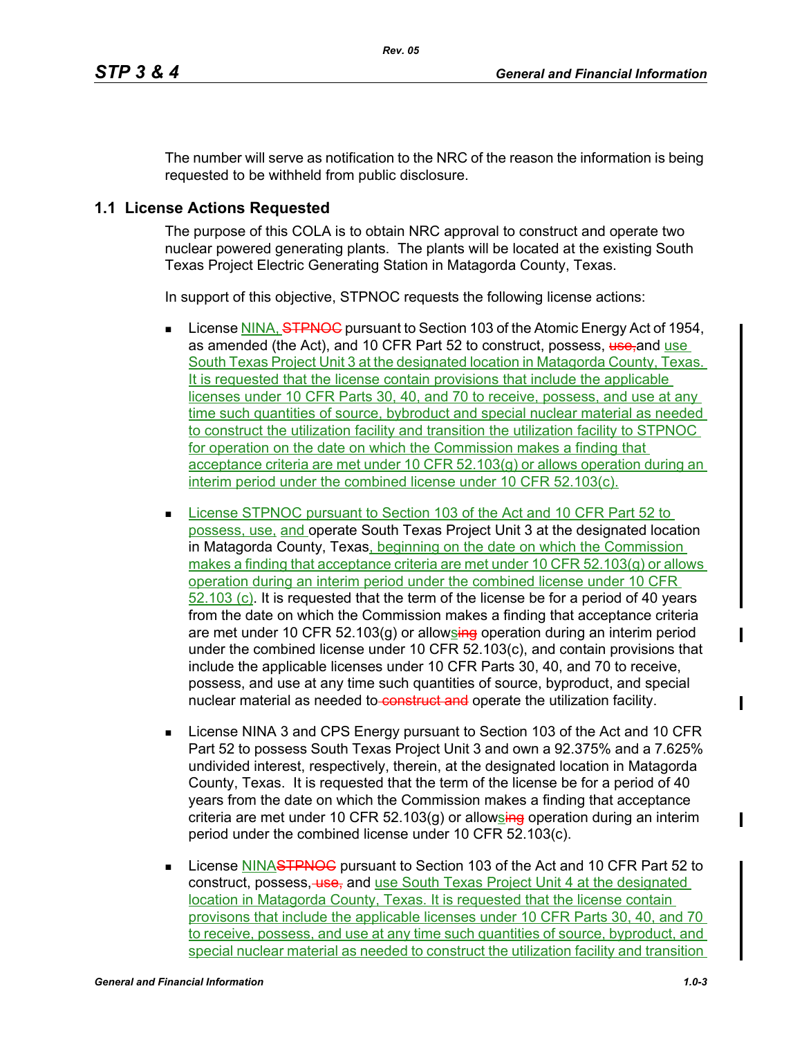The number will serve as notification to the NRC of the reason the information is being requested to be withheld from public disclosure.

# **1.1 License Actions Requested**

The purpose of this COLA is to obtain NRC approval to construct and operate two nuclear powered generating plants. The plants will be located at the existing South Texas Project Electric Generating Station in Matagorda County, Texas.

In support of this objective, STPNOC requests the following license actions:

- **License NINA, <del>STPNOC</del>** pursuant to Section 103 of the Atomic Energy Act of 1954, as amended (the Act), and 10 CFR Part 52 to construct, possess, use-and use South Texas Project Unit 3 at the designated location in Matagorda County, Texas. It is requested that the license contain provisions that include the applicable licenses under 10 CFR Parts 30, 40, and 70 to receive, possess, and use at any time such quantities of source, bybroduct and special nuclear material as needed to construct the utilization facility and transition the utilization facility to STPNOC for operation on the date on which the Commission makes a finding that acceptance criteria are met under 10 CFR 52.103(g) or allows operation during an interim period under the combined license under 10 CFR 52.103(c).
- **License STPNOC pursuant to Section 103 of the Act and 10 CFR Part 52 to** possess, use, and operate South Texas Project Unit 3 at the designated location in Matagorda County, Texas, beginning on the date on which the Commission makes a finding that acceptance criteria are met under 10 CFR 52.103(g) or allows operation during an interim period under the combined license under 10 CFR 52.103 (c). It is requested that the term of the license be for a period of 40 years from the date on which the Commission makes a finding that acceptance criteria are met under 10 CFR 52.103(q) or allowsing operation during an interim period under the combined license under 10 CFR 52.103(c), and contain provisions that include the applicable licenses under 10 CFR Parts 30, 40, and 70 to receive, possess, and use at any time such quantities of source, byproduct, and special nuclear material as needed to construct and operate the utilization facility.
- License NINA 3 and CPS Energy pursuant to Section 103 of the Act and 10 CFR Part 52 to possess South Texas Project Unit 3 and own a 92.375% and a 7.625% undivided interest, respectively, therein, at the designated location in Matagorda County, Texas. It is requested that the term of the license be for a period of 40 years from the date on which the Commission makes a finding that acceptance criteria are met under 10 CFR 52.103(g) or allowsing operation during an interim period under the combined license under 10 CFR 52.103(c).
- **License NINASTPNOC** pursuant to Section 103 of the Act and 10 CFR Part 52 to construct, possess, use, and use South Texas Project Unit 4 at the designated location in Matagorda County, Texas. It is requested that the license contain provisons that include the applicable licenses under 10 CFR Parts 30, 40, and 70 to receive, possess, and use at any time such quantities of source, byproduct, and special nuclear material as needed to construct the utilization facility and transition

ı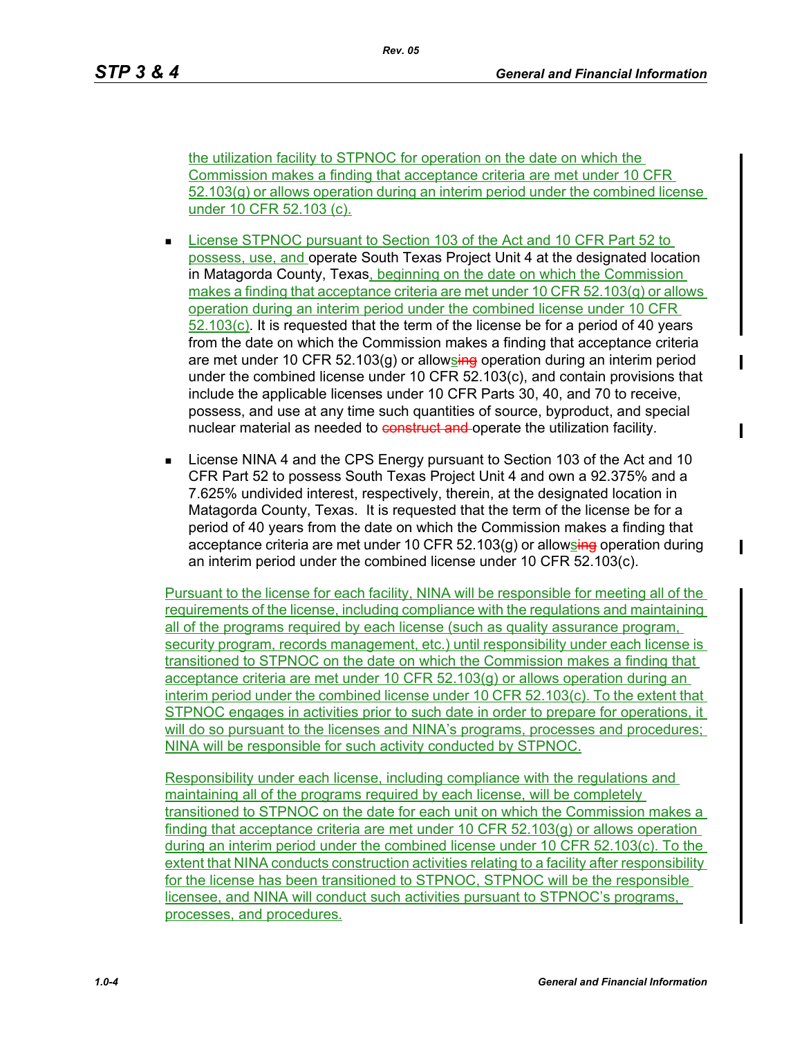the utilization facility to STPNOC for operation on the date on which the Commission makes a finding that acceptance criteria are met under 10 CFR 52.103(g) or allows operation during an interim period under the combined license under 10 CFR 52.103 (c).

- **License STPNOC pursuant to Section 103 of the Act and 10 CFR Part 52 to** possess, use, and operate South Texas Project Unit 4 at the designated location in Matagorda County, Texas, beginning on the date on which the Commission makes a finding that acceptance criteria are met under 10 CFR 52.103(g) or allows operation during an interim period under the combined license under 10 CFR 52.103(c). It is requested that the term of the license be for a period of 40 years from the date on which the Commission makes a finding that acceptance criteria are met under 10 CFR 52.103(g) or allowsing operation during an interim period under the combined license under 10 CFR 52.103(c), and contain provisions that include the applicable licenses under 10 CFR Parts 30, 40, and 70 to receive, possess, and use at any time such quantities of source, byproduct, and special nuclear material as needed to construct and operate the utilization facility.
- **License NINA 4 and the CPS Energy pursuant to Section 103 of the Act and 10** CFR Part 52 to possess South Texas Project Unit 4 and own a 92.375% and a 7.625% undivided interest, respectively, therein, at the designated location in Matagorda County, Texas. It is requested that the term of the license be for a period of 40 years from the date on which the Commission makes a finding that acceptance criteria are met under 10 CFR  $52.103(q)$  or allowsing operation during an interim period under the combined license under 10 CFR 52.103(c).

Pursuant to the license for each facility, NINA will be responsible for meeting all of the requirements of the license, including compliance with the regulations and maintaining all of the programs required by each license (such as quality assurance program, security program, records management, etc.) until responsibility under each license is transitioned to STPNOC on the date on which the Commission makes a finding that acceptance criteria are met under 10 CFR 52.103(g) or allows operation during an interim period under the combined license under 10 CFR 52.103(c). To the extent that STPNOC engages in activities prior to such date in order to prepare for operations, it will do so pursuant to the licenses and NINA's programs, processes and procedures; NINA will be responsible for such activity conducted by STPNOC.

Responsibility under each license, including compliance with the regulations and maintaining all of the programs required by each license, will be completely transitioned to STPNOC on the date for each unit on which the Commission makes a finding that acceptance criteria are met under 10 CFR 52.103(g) or allows operation during an interim period under the combined license under 10 CFR 52.103(c). To the extent that NINA conducts construction activities relating to a facility after responsibility for the license has been transitioned to STPNOC, STPNOC will be the responsible licensee, and NINA will conduct such activities pursuant to STPNOC's programs, processes, and procedures.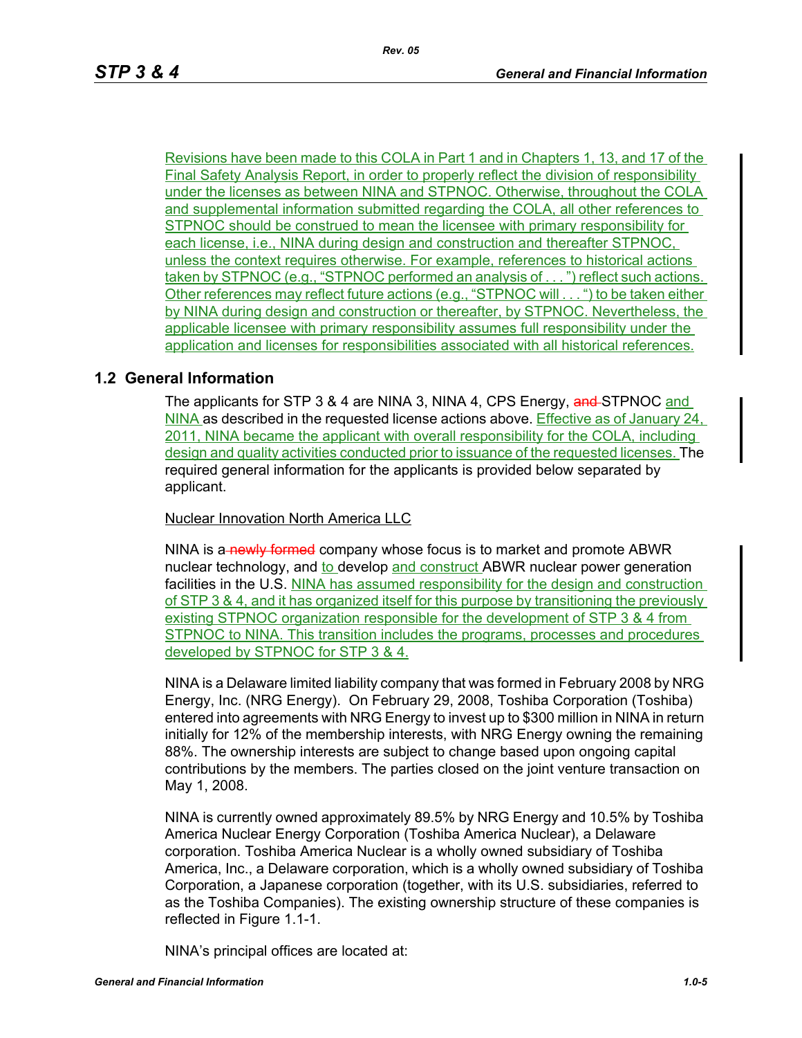Revisions have been made to this COLA in Part 1 and in Chapters 1, 13, and 17 of the Final Safety Analysis Report, in order to properly reflect the division of responsibility under the licenses as between NINA and STPNOC. Otherwise, throughout the COLA and supplemental information submitted regarding the COLA, all other references to STPNOC should be construed to mean the licensee with primary responsibility for each license, i.e., NINA during design and construction and thereafter STPNOC, unless the context requires otherwise. For example, references to historical actions taken by STPNOC (e.g., "STPNOC performed an analysis of . . . ") reflect such actions. Other references may reflect future actions (e.g., "STPNOC will . . . ") to be taken either by NINA during design and construction or thereafter, by STPNOC. Nevertheless, the applicable licensee with primary responsibility assumes full responsibility under the application and licenses for responsibilities associated with all historical references.

# **1.2 General Information**

The applicants for STP 3 & 4 are NINA 3, NINA 4, CPS Energy, and STPNOC and NINA as described in the requested license actions above. Effective as of January 24, 2011, NINA became the applicant with overall responsibility for the COLA, including design and quality activities conducted prior to issuance of the requested licenses. The required general information for the applicants is provided below separated by applicant.

Nuclear Innovation North America LLC

NINA is a newly formed company whose focus is to market and promote ABWR nuclear technology, and to develop and construct ABWR nuclear power generation facilities in the U.S. NINA has assumed responsibility for the design and construction of STP 3 & 4, and it has organized itself for this purpose by transitioning the previously existing STPNOC organization responsible for the development of STP 3 & 4 from STPNOC to NINA. This transition includes the programs, processes and procedures developed by STPNOC for STP 3 & 4.

NINA is a Delaware limited liability company that was formed in February 2008 by NRG Energy, Inc. (NRG Energy). On February 29, 2008, Toshiba Corporation (Toshiba) entered into agreements with NRG Energy to invest up to \$300 million in NINA in return initially for 12% of the membership interests, with NRG Energy owning the remaining 88%. The ownership interests are subject to change based upon ongoing capital contributions by the members. The parties closed on the joint venture transaction on May 1, 2008.

NINA is currently owned approximately 89.5% by NRG Energy and 10.5% by Toshiba America Nuclear Energy Corporation (Toshiba America Nuclear), a Delaware corporation. Toshiba America Nuclear is a wholly owned subsidiary of Toshiba America, Inc., a Delaware corporation, which is a wholly owned subsidiary of Toshiba Corporation, a Japanese corporation (together, with its U.S. subsidiaries, referred to as the Toshiba Companies). The existing ownership structure of these companies is reflected in Figure 1.1-1.

NINA's principal offices are located at: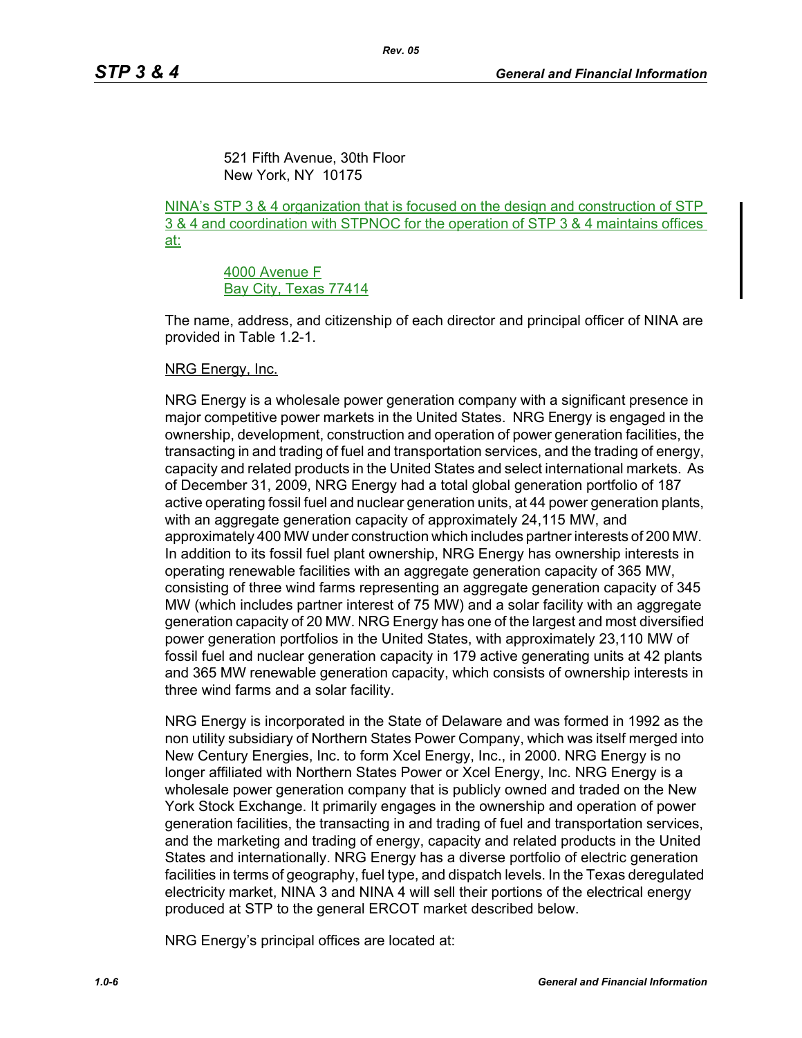521 Fifth Avenue, 30th Floor New York, NY 10175

NINA's STP 3 & 4 organization that is focused on the design and construction of STP 3 & 4 and coordination with STPNOC for the operation of STP 3 & 4 maintains offices at:

> 4000 Avenue F Bay City, Texas 77414

The name, address, and citizenship of each director and principal officer of NINA are provided in Table 1.2-1.

#### NRG Energy, Inc.

NRG Energy is a wholesale power generation company with a significant presence in major competitive power markets in the United States. NRG Energy is engaged in the ownership, development, construction and operation of power generation facilities, the transacting in and trading of fuel and transportation services, and the trading of energy, capacity and related products in the United States and select international markets. As of December 31, 2009, NRG Energy had a total global generation portfolio of 187 active operating fossil fuel and nuclear generation units, at 44 power generation plants, with an aggregate generation capacity of approximately 24,115 MW, and approximately 400 MW under construction which includes partner interests of 200 MW. In addition to its fossil fuel plant ownership, NRG Energy has ownership interests in operating renewable facilities with an aggregate generation capacity of 365 MW, consisting of three wind farms representing an aggregate generation capacity of 345 MW (which includes partner interest of 75 MW) and a solar facility with an aggregate generation capacity of 20 MW. NRG Energy has one of the largest and most diversified power generation portfolios in the United States, with approximately 23,110 MW of fossil fuel and nuclear generation capacity in 179 active generating units at 42 plants and 365 MW renewable generation capacity, which consists of ownership interests in three wind farms and a solar facility.

NRG Energy is incorporated in the State of Delaware and was formed in 1992 as the non utility subsidiary of Northern States Power Company, which was itself merged into New Century Energies, Inc. to form Xcel Energy, Inc., in 2000. NRG Energy is no longer affiliated with Northern States Power or Xcel Energy, Inc. NRG Energy is a wholesale power generation company that is publicly owned and traded on the New York Stock Exchange. It primarily engages in the ownership and operation of power generation facilities, the transacting in and trading of fuel and transportation services, and the marketing and trading of energy, capacity and related products in the United States and internationally. NRG Energy has a diverse portfolio of electric generation facilities in terms of geography, fuel type, and dispatch levels. In the Texas deregulated electricity market, NINA 3 and NINA 4 will sell their portions of the electrical energy produced at STP to the general ERCOT market described below.

NRG Energy's principal offices are located at: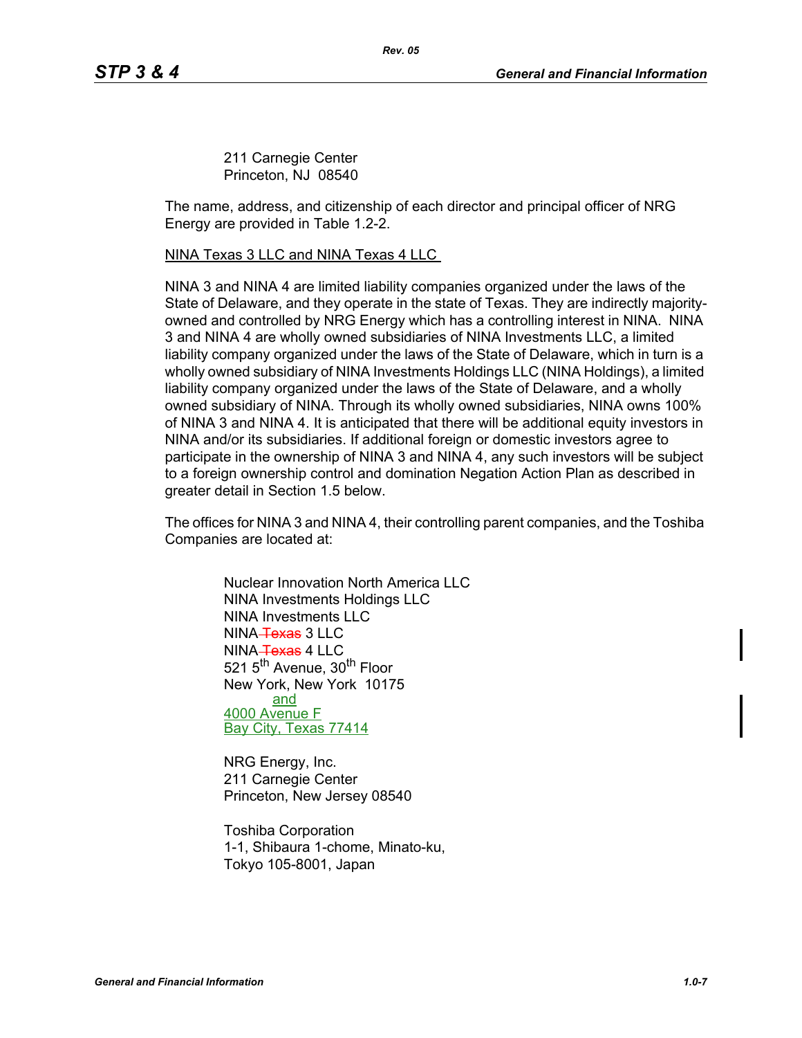211 Carnegie Center Princeton, NJ 08540

The name, address, and citizenship of each director and principal officer of NRG Energy are provided in Table 1.2-2.

#### NINA Texas 3 LLC and NINA Texas 4 LLC

NINA 3 and NINA 4 are limited liability companies organized under the laws of the State of Delaware, and they operate in the state of Texas. They are indirectly majorityowned and controlled by NRG Energy which has a controlling interest in NINA. NINA 3 and NINA 4 are wholly owned subsidiaries of NINA Investments LLC, a limited liability company organized under the laws of the State of Delaware, which in turn is a wholly owned subsidiary of NINA Investments Holdings LLC (NINA Holdings), a limited liability company organized under the laws of the State of Delaware, and a wholly owned subsidiary of NINA. Through its wholly owned subsidiaries, NINA owns 100% of NINA 3 and NINA 4. It is anticipated that there will be additional equity investors in NINA and/or its subsidiaries. If additional foreign or domestic investors agree to participate in the ownership of NINA 3 and NINA 4, any such investors will be subject to a foreign ownership control and domination Negation Action Plan as described in greater detail in Section 1.5 below.

The offices for NINA 3 and NINA 4, their controlling parent companies, and the Toshiba Companies are located at:

> Nuclear Innovation North America LLC NINA Investments Holdings LLC NINA Investments LLC NINA Texas 3 LLC NINA Texas 4 LLC 521 5<sup>th</sup> Avenue, 30<sup>th</sup> Floor New York, New York 10175 and 4000 Avenue F Bay City, Texas 77414

NRG Energy, Inc. 211 Carnegie Center Princeton, New Jersey 08540

Toshiba Corporation 1-1, Shibaura 1-chome, Minato-ku, Tokyo 105-8001, Japan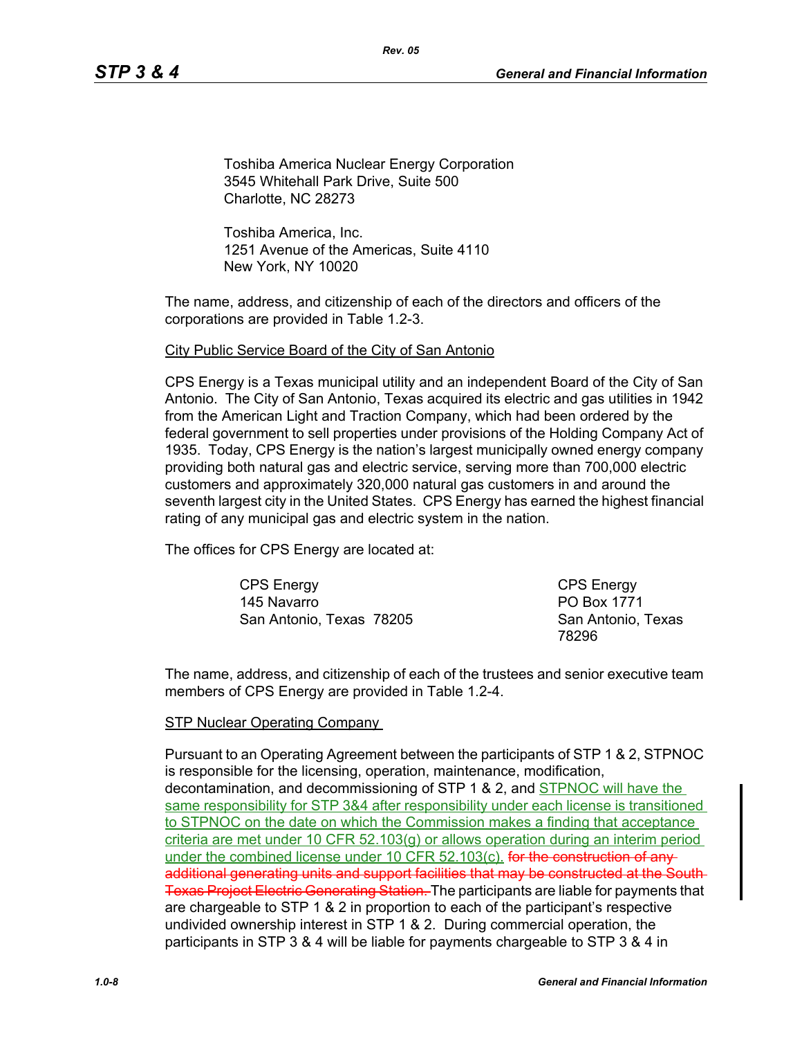Toshiba America Nuclear Energy Corporation 3545 Whitehall Park Drive, Suite 500 Charlotte, NC 28273

*Rev. 05*

Toshiba America, Inc. 1251 Avenue of the Americas, Suite 4110 New York, NY 10020

The name, address, and citizenship of each of the directors and officers of the corporations are provided in Table 1.2-3.

#### City Public Service Board of the City of San Antonio

CPS Energy is a Texas municipal utility and an independent Board of the City of San Antonio. The City of San Antonio, Texas acquired its electric and gas utilities in 1942 from the American Light and Traction Company, which had been ordered by the federal government to sell properties under provisions of the Holding Company Act of 1935. Today, CPS Energy is the nation's largest municipally owned energy company providing both natural gas and electric service, serving more than 700,000 electric customers and approximately 320,000 natural gas customers in and around the seventh largest city in the United States. CPS Energy has earned the highest financial rating of any municipal gas and electric system in the nation.

The offices for CPS Energy are located at:

CPS Energy 145 Navarro San Antonio, Texas 78205

CPS Energy PO Box 1771 San Antonio, Texas 78296

The name, address, and citizenship of each of the trustees and senior executive team members of CPS Energy are provided in Table 1.2-4.

#### STP Nuclear Operating Company

Pursuant to an Operating Agreement between the participants of STP 1 & 2, STPNOC is responsible for the licensing, operation, maintenance, modification, decontamination, and decommissioning of STP 1 & 2, and STPNOC will have the same responsibility for STP 3&4 after responsibility under each license is transitioned to STPNOC on the date on which the Commission makes a finding that acceptance criteria are met under 10 CFR 52.103(g) or allows operation during an interim period under the combined license under 10 CFR 52.103(c). **for the construction of any**additional generating units and support facilities that may be constructed at the South Texas Project Electric Generating Station. The participants are liable for payments that are chargeable to STP 1 & 2 in proportion to each of the participant's respective undivided ownership interest in STP 1 & 2. During commercial operation, the participants in STP 3 & 4 will be liable for payments chargeable to STP 3 & 4 in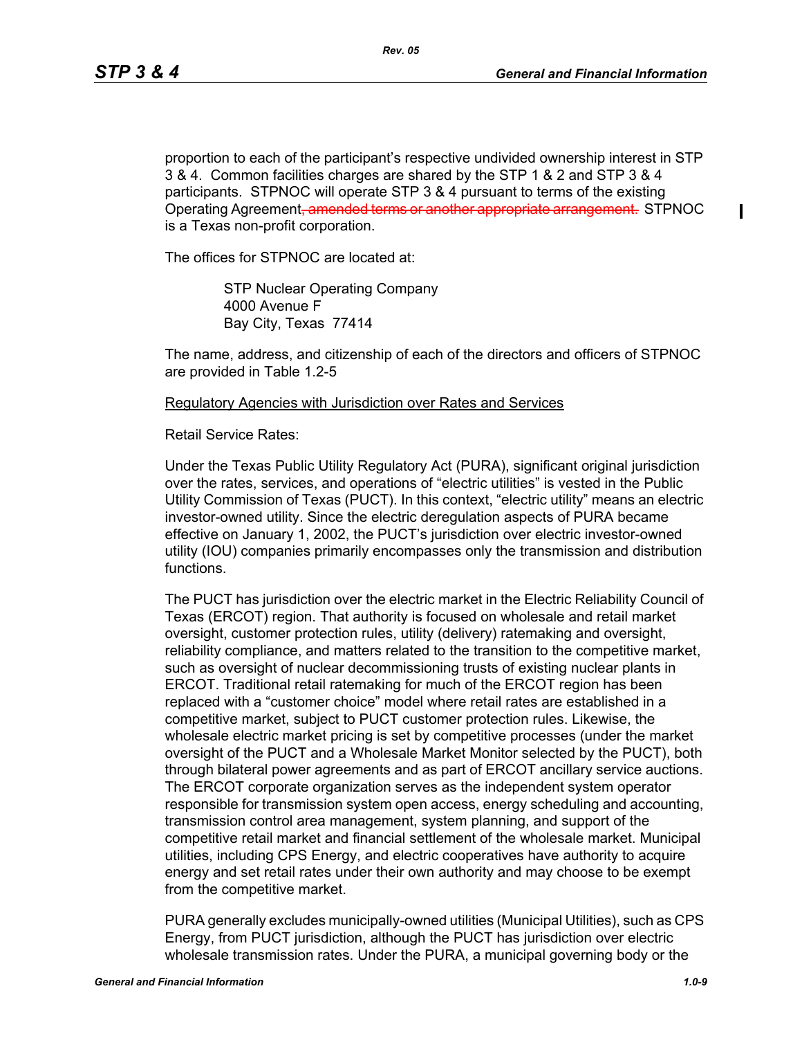ı

proportion to each of the participant's respective undivided ownership interest in STP 3 & 4. Common facilities charges are shared by the STP 1 & 2 and STP 3 & 4 participants. STPNOC will operate STP 3 & 4 pursuant to terms of the existing Operating Agreement<del>, amended terms or another appropriate arrangement.</del> STPNOC is a Texas non-profit corporation.

The offices for STPNOC are located at:

STP Nuclear Operating Company 4000 Avenue F Bay City, Texas 77414

The name, address, and citizenship of each of the directors and officers of STPNOC are provided in Table 1.2-5

#### Regulatory Agencies with Jurisdiction over Rates and Services

Retail Service Rates:

Under the Texas Public Utility Regulatory Act (PURA), significant original jurisdiction over the rates, services, and operations of "electric utilities" is vested in the Public Utility Commission of Texas (PUCT). In this context, "electric utility" means an electric investor-owned utility. Since the electric deregulation aspects of PURA became effective on January 1, 2002, the PUCT's jurisdiction over electric investor-owned utility (IOU) companies primarily encompasses only the transmission and distribution functions.

The PUCT has jurisdiction over the electric market in the Electric Reliability Council of Texas (ERCOT) region. That authority is focused on wholesale and retail market oversight, customer protection rules, utility (delivery) ratemaking and oversight, reliability compliance, and matters related to the transition to the competitive market, such as oversight of nuclear decommissioning trusts of existing nuclear plants in ERCOT. Traditional retail ratemaking for much of the ERCOT region has been replaced with a "customer choice" model where retail rates are established in a competitive market, subject to PUCT customer protection rules. Likewise, the wholesale electric market pricing is set by competitive processes (under the market oversight of the PUCT and a Wholesale Market Monitor selected by the PUCT), both through bilateral power agreements and as part of ERCOT ancillary service auctions. The ERCOT corporate organization serves as the independent system operator responsible for transmission system open access, energy scheduling and accounting, transmission control area management, system planning, and support of the competitive retail market and financial settlement of the wholesale market. Municipal utilities, including CPS Energy, and electric cooperatives have authority to acquire energy and set retail rates under their own authority and may choose to be exempt from the competitive market.

PURA generally excludes municipally-owned utilities (Municipal Utilities), such as CPS Energy, from PUCT jurisdiction, although the PUCT has jurisdiction over electric wholesale transmission rates. Under the PURA, a municipal governing body or the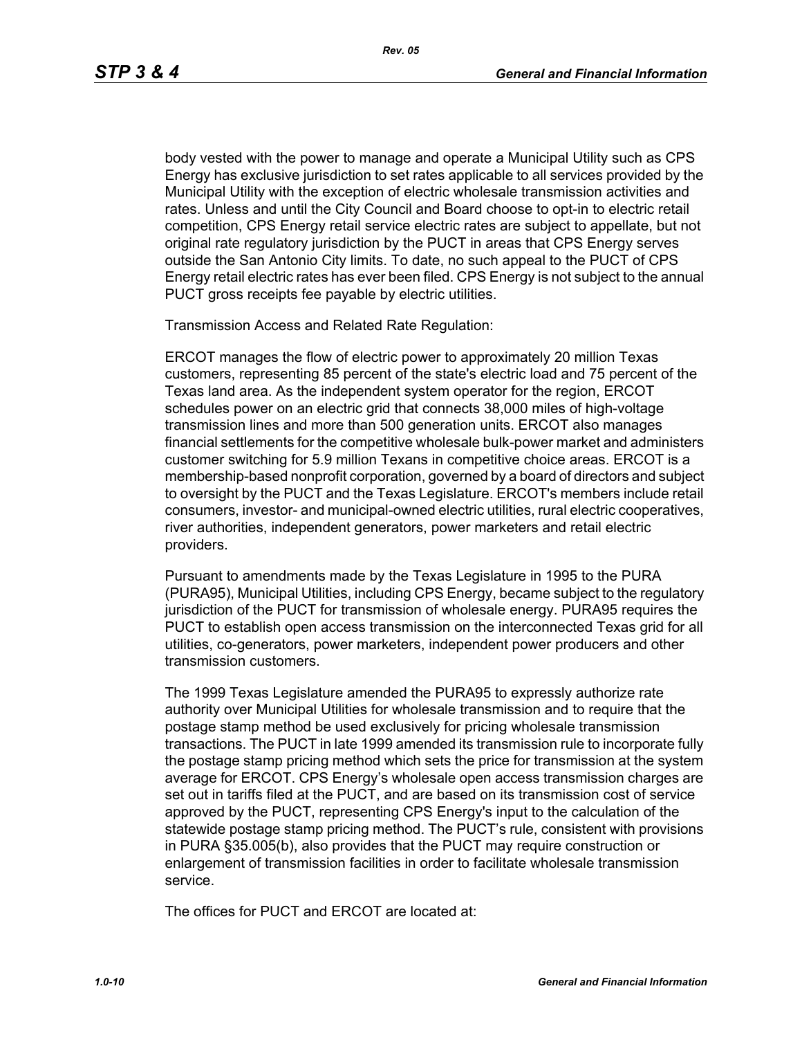body vested with the power to manage and operate a Municipal Utility such as CPS Energy has exclusive jurisdiction to set rates applicable to all services provided by the Municipal Utility with the exception of electric wholesale transmission activities and rates. Unless and until the City Council and Board choose to opt-in to electric retail competition, CPS Energy retail service electric rates are subject to appellate, but not original rate regulatory jurisdiction by the PUCT in areas that CPS Energy serves outside the San Antonio City limits. To date, no such appeal to the PUCT of CPS Energy retail electric rates has ever been filed. CPS Energy is not subject to the annual PUCT gross receipts fee payable by electric utilities.

Transmission Access and Related Rate Regulation:

ERCOT manages the flow of electric power to approximately 20 million Texas customers, representing 85 percent of the state's electric load and 75 percent of the Texas land area. As the independent system operator for the region, ERCOT schedules power on an electric grid that connects 38,000 miles of high-voltage transmission lines and more than 500 generation units. ERCOT also manages financial settlements for the competitive wholesale bulk-power market and administers customer switching for 5.9 million Texans in competitive choice areas. ERCOT is a membership-based nonprofit corporation, governed by a board of directors and subject to oversight by the PUCT and the Texas Legislature. ERCOT's members include retail consumers, investor- and municipal-owned electric utilities, rural electric cooperatives, river authorities, independent generators, power marketers and retail electric providers.

Pursuant to amendments made by the Texas Legislature in 1995 to the PURA (PURA95), Municipal Utilities, including CPS Energy, became subject to the regulatory jurisdiction of the PUCT for transmission of wholesale energy. PURA95 requires the PUCT to establish open access transmission on the interconnected Texas grid for all utilities, co-generators, power marketers, independent power producers and other transmission customers.

The 1999 Texas Legislature amended the PURA95 to expressly authorize rate authority over Municipal Utilities for wholesale transmission and to require that the postage stamp method be used exclusively for pricing wholesale transmission transactions. The PUCT in late 1999 amended its transmission rule to incorporate fully the postage stamp pricing method which sets the price for transmission at the system average for ERCOT. CPS Energy's wholesale open access transmission charges are set out in tariffs filed at the PUCT, and are based on its transmission cost of service approved by the PUCT, representing CPS Energy's input to the calculation of the statewide postage stamp pricing method. The PUCT's rule, consistent with provisions in PURA §35.005(b), also provides that the PUCT may require construction or enlargement of transmission facilities in order to facilitate wholesale transmission service.

The offices for PUCT and ERCOT are located at: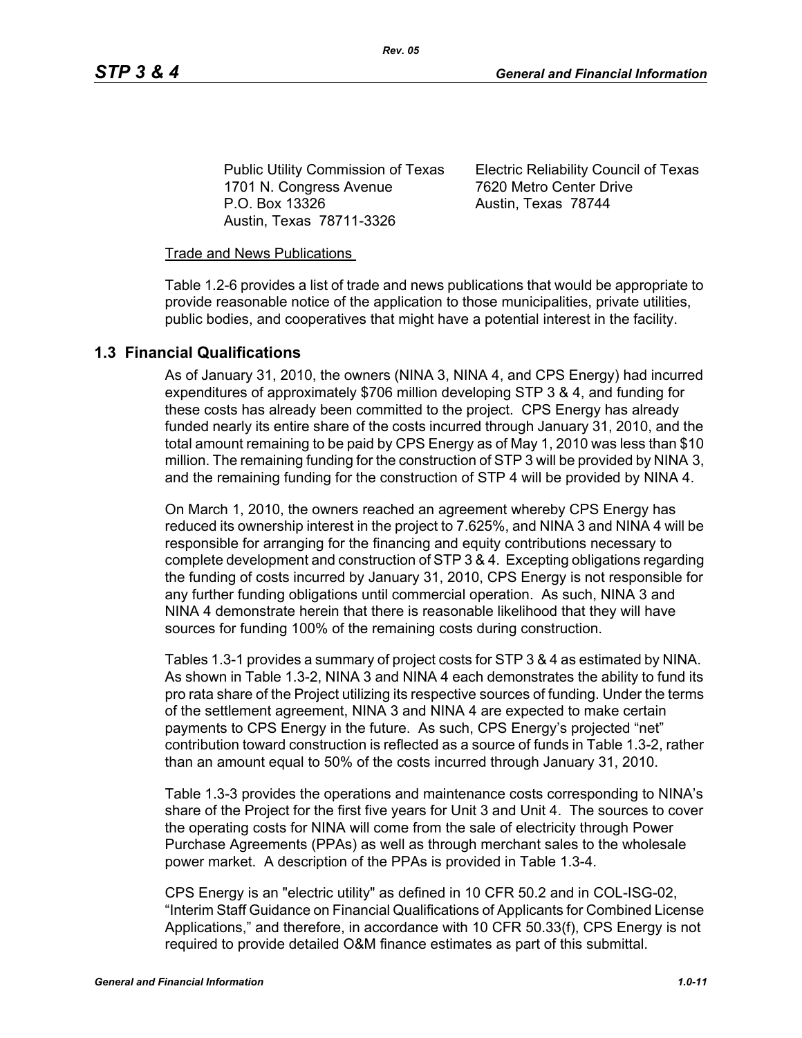Public Utility Commission of Texas 1701 N. Congress Avenue P.O. Box 13326 Austin, Texas 78711-3326

Electric Reliability Council of Texas 7620 Metro Center Drive Austin, Texas 78744

### Trade and News Publications

Table 1.2-6 provides a list of trade and news publications that would be appropriate to provide reasonable notice of the application to those municipalities, private utilities, public bodies, and cooperatives that might have a potential interest in the facility.

# **1.3 Financial Qualifications**

As of January 31, 2010, the owners (NINA 3, NINA 4, and CPS Energy) had incurred expenditures of approximately \$706 million developing STP 3 & 4, and funding for these costs has already been committed to the project. CPS Energy has already funded nearly its entire share of the costs incurred through January 31, 2010, and the total amount remaining to be paid by CPS Energy as of May 1, 2010 was less than \$10 million. The remaining funding for the construction of STP 3 will be provided by NINA 3, and the remaining funding for the construction of STP 4 will be provided by NINA 4.

On March 1, 2010, the owners reached an agreement whereby CPS Energy has reduced its ownership interest in the project to 7.625%, and NINA 3 and NINA 4 will be responsible for arranging for the financing and equity contributions necessary to complete development and construction of STP 3 & 4. Excepting obligations regarding the funding of costs incurred by January 31, 2010, CPS Energy is not responsible for any further funding obligations until commercial operation. As such, NINA 3 and NINA 4 demonstrate herein that there is reasonable likelihood that they will have sources for funding 100% of the remaining costs during construction.

Tables 1.3-1 provides a summary of project costs for STP 3 & 4 as estimated by NINA. As shown in Table 1.3-2, NINA 3 and NINA 4 each demonstrates the ability to fund its pro rata share of the Project utilizing its respective sources of funding. Under the terms of the settlement agreement, NINA 3 and NINA 4 are expected to make certain payments to CPS Energy in the future. As such, CPS Energy's projected "net" contribution toward construction is reflected as a source of funds in Table 1.3-2, rather than an amount equal to 50% of the costs incurred through January 31, 2010.

Table 1.3-3 provides the operations and maintenance costs corresponding to NINA's share of the Project for the first five years for Unit 3 and Unit 4. The sources to cover the operating costs for NINA will come from the sale of electricity through Power Purchase Agreements (PPAs) as well as through merchant sales to the wholesale power market. A description of the PPAs is provided in Table 1.3-4.

CPS Energy is an "electric utility" as defined in 10 CFR 50.2 and in COL-ISG-02, "Interim Staff Guidance on Financial Qualifications of Applicants for Combined License Applications," and therefore, in accordance with 10 CFR 50.33(f), CPS Energy is not required to provide detailed O&M finance estimates as part of this submittal.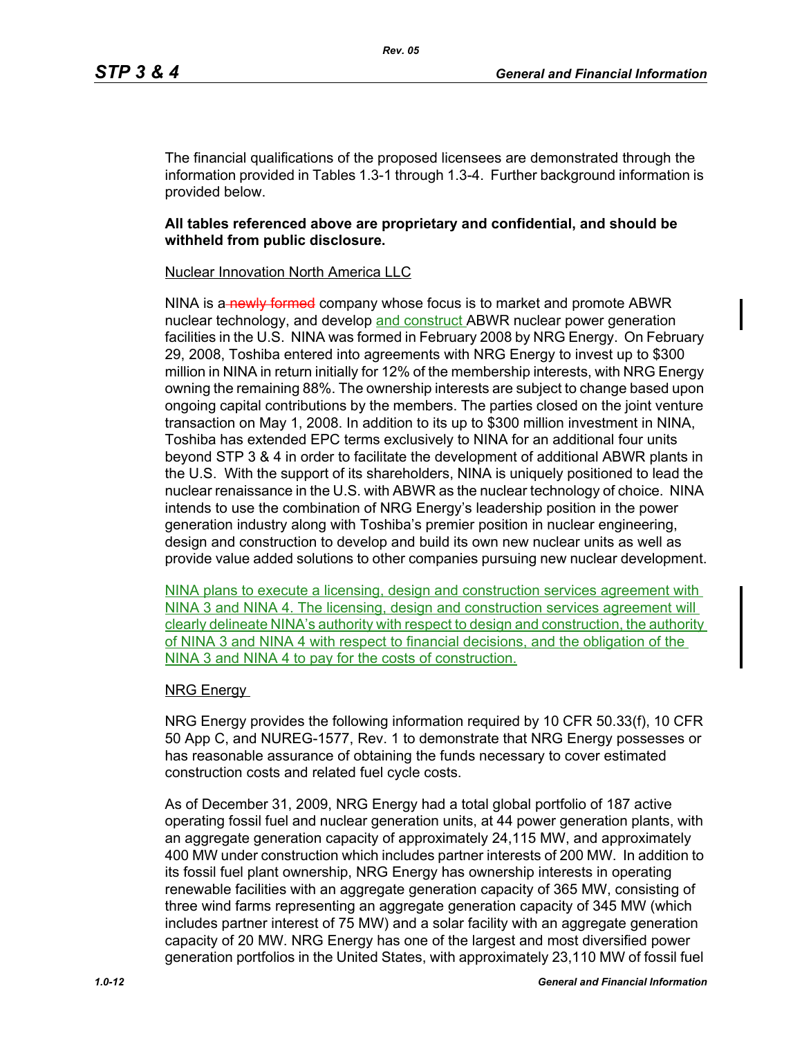The financial qualifications of the proposed licensees are demonstrated through the information provided in Tables 1.3-1 through 1.3-4. Further background information is provided below.

#### **All tables referenced above are proprietary and confidential, and should be withheld from public disclosure.**

#### Nuclear Innovation North America LLC

NINA is a newly formed company whose focus is to market and promote ABWR nuclear technology, and develop and construct ABWR nuclear power generation facilities in the U.S. NINA was formed in February 2008 by NRG Energy. On February 29, 2008, Toshiba entered into agreements with NRG Energy to invest up to \$300 million in NINA in return initially for 12% of the membership interests, with NRG Energy owning the remaining 88%. The ownership interests are subject to change based upon ongoing capital contributions by the members. The parties closed on the joint venture transaction on May 1, 2008. In addition to its up to \$300 million investment in NINA, Toshiba has extended EPC terms exclusively to NINA for an additional four units beyond STP 3 & 4 in order to facilitate the development of additional ABWR plants in the U.S. With the support of its shareholders, NINA is uniquely positioned to lead the nuclear renaissance in the U.S. with ABWR as the nuclear technology of choice. NINA intends to use the combination of NRG Energy's leadership position in the power generation industry along with Toshiba's premier position in nuclear engineering, design and construction to develop and build its own new nuclear units as well as provide value added solutions to other companies pursuing new nuclear development.

NINA plans to execute a licensing, design and construction services agreement with NINA 3 and NINA 4. The licensing, design and construction services agreement will clearly delineate NINA's authority with respect to design and construction, the authority of NINA 3 and NINA 4 with respect to financial decisions, and the obligation of the NINA 3 and NINA 4 to pay for the costs of construction.

#### NRG Energy

NRG Energy provides the following information required by 10 CFR 50.33(f), 10 CFR 50 App C, and NUREG-1577, Rev. 1 to demonstrate that NRG Energy possesses or has reasonable assurance of obtaining the funds necessary to cover estimated construction costs and related fuel cycle costs.

As of December 31, 2009, NRG Energy had a total global portfolio of 187 active operating fossil fuel and nuclear generation units, at 44 power generation plants, with an aggregate generation capacity of approximately 24,115 MW, and approximately 400 MW under construction which includes partner interests of 200 MW. In addition to its fossil fuel plant ownership, NRG Energy has ownership interests in operating renewable facilities with an aggregate generation capacity of 365 MW, consisting of three wind farms representing an aggregate generation capacity of 345 MW (which includes partner interest of 75 MW) and a solar facility with an aggregate generation capacity of 20 MW. NRG Energy has one of the largest and most diversified power generation portfolios in the United States, with approximately 23,110 MW of fossil fuel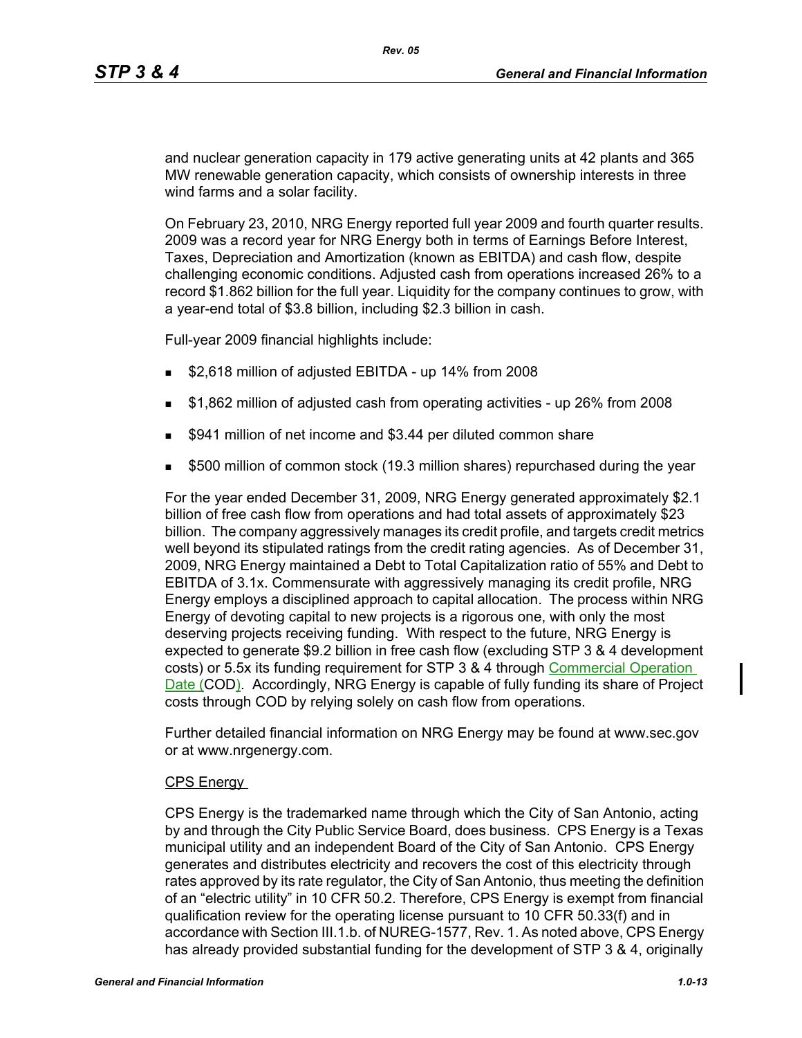and nuclear generation capacity in 179 active generating units at 42 plants and 365 MW renewable generation capacity, which consists of ownership interests in three wind farms and a solar facility.

On February 23, 2010, NRG Energy reported full year 2009 and fourth quarter results. 2009 was a record year for NRG Energy both in terms of Earnings Before Interest, Taxes, Depreciation and Amortization (known as EBITDA) and cash flow, despite challenging economic conditions. Adjusted cash from operations increased 26% to a record \$1.862 billion for the full year. Liquidity for the company continues to grow, with a year-end total of \$3.8 billion, including \$2.3 billion in cash.

Full-year 2009 financial highlights include:

- **52,618 million of adjusted EBITDA up 14% from 2008**
- **51,862 million of adjusted cash from operating activities up 26% from 2008**
- \$941 million of net income and \$3.44 per diluted common share
- \$500 million of common stock (19.3 million shares) repurchased during the year

For the year ended December 31, 2009, NRG Energy generated approximately \$2.1 billion of free cash flow from operations and had total assets of approximately \$23 billion. The company aggressively manages its credit profile, and targets credit metrics well beyond its stipulated ratings from the credit rating agencies. As of December 31, 2009, NRG Energy maintained a Debt to Total Capitalization ratio of 55% and Debt to EBITDA of 3.1x. Commensurate with aggressively managing its credit profile, NRG Energy employs a disciplined approach to capital allocation. The process within NRG Energy of devoting capital to new projects is a rigorous one, with only the most deserving projects receiving funding. With respect to the future, NRG Energy is expected to generate \$9.2 billion in free cash flow (excluding STP 3 & 4 development costs) or 5.5x its funding requirement for STP 3 & 4 through Commercial Operation Date (COD). Accordingly, NRG Energy is capable of fully funding its share of Project costs through COD by relying solely on cash flow from operations.

Further detailed financial information on NRG Energy may be found at www.sec.gov or at www.nrgenergy.com.

#### CPS Energy

CPS Energy is the trademarked name through which the City of San Antonio, acting by and through the City Public Service Board, does business. CPS Energy is a Texas municipal utility and an independent Board of the City of San Antonio. CPS Energy generates and distributes electricity and recovers the cost of this electricity through rates approved by its rate regulator, the City of San Antonio, thus meeting the definition of an "electric utility" in 10 CFR 50.2. Therefore, CPS Energy is exempt from financial qualification review for the operating license pursuant to 10 CFR 50.33(f) and in accordance with Section III.1.b. of NUREG-1577, Rev. 1. As noted above, CPS Energy has already provided substantial funding for the development of STP 3 & 4, originally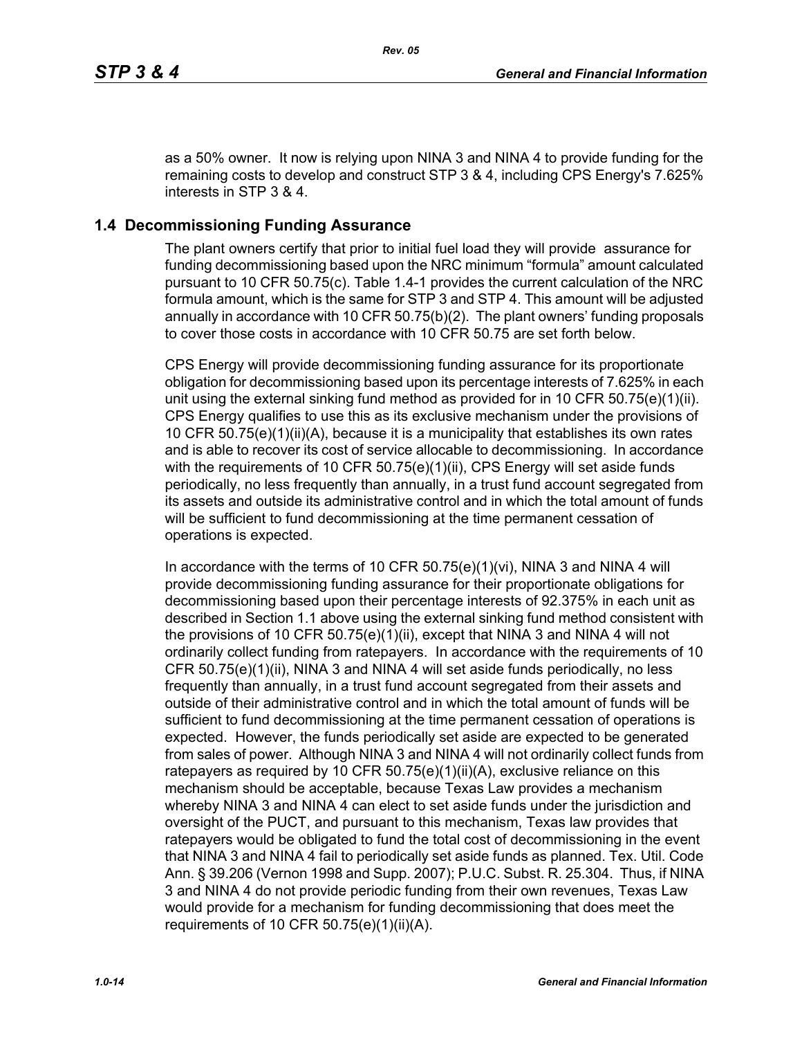as a 50% owner. It now is relying upon NINA 3 and NINA 4 to provide funding for the remaining costs to develop and construct STP 3 & 4, including CPS Energy's 7.625% interests in STP 3 & 4.

# **1.4 Decommissioning Funding Assurance**

The plant owners certify that prior to initial fuel load they will provide assurance for funding decommissioning based upon the NRC minimum "formula" amount calculated pursuant to 10 CFR 50.75(c). Table 1.4-1 provides the current calculation of the NRC formula amount, which is the same for STP 3 and STP 4. This amount will be adjusted annually in accordance with 10 CFR 50.75(b)(2). The plant owners' funding proposals to cover those costs in accordance with 10 CFR 50.75 are set forth below.

CPS Energy will provide decommissioning funding assurance for its proportionate obligation for decommissioning based upon its percentage interests of 7.625% in each unit using the external sinking fund method as provided for in 10 CFR 50.75(e)(1)(ii). CPS Energy qualifies to use this as its exclusive mechanism under the provisions of 10 CFR 50.75(e)(1)(ii)(A), because it is a municipality that establishes its own rates and is able to recover its cost of service allocable to decommissioning. In accordance with the requirements of 10 CFR 50.75(e)(1)(ii), CPS Energy will set aside funds periodically, no less frequently than annually, in a trust fund account segregated from its assets and outside its administrative control and in which the total amount of funds will be sufficient to fund decommissioning at the time permanent cessation of operations is expected.

In accordance with the terms of 10 CFR  $50.75(e)(1)(vi)$ , NINA 3 and NINA 4 will provide decommissioning funding assurance for their proportionate obligations for decommissioning based upon their percentage interests of 92.375% in each unit as described in Section 1.1 above using the external sinking fund method consistent with the provisions of 10 CFR  $50.75(e)(1)(ii)$ , except that NINA 3 and NINA 4 will not ordinarily collect funding from ratepayers. In accordance with the requirements of 10 CFR 50.75(e)(1)(ii), NINA 3 and NINA 4 will set aside funds periodically, no less frequently than annually, in a trust fund account segregated from their assets and outside of their administrative control and in which the total amount of funds will be sufficient to fund decommissioning at the time permanent cessation of operations is expected. However, the funds periodically set aside are expected to be generated from sales of power. Although NINA 3 and NINA 4 will not ordinarily collect funds from ratepayers as required by 10 CFR 50.75(e)(1)(ii)(A), exclusive reliance on this mechanism should be acceptable, because Texas Law provides a mechanism whereby NINA 3 and NINA 4 can elect to set aside funds under the jurisdiction and oversight of the PUCT, and pursuant to this mechanism, Texas law provides that ratepayers would be obligated to fund the total cost of decommissioning in the event that NINA 3 and NINA 4 fail to periodically set aside funds as planned. Tex. Util. Code Ann. § 39.206 (Vernon 1998 and Supp. 2007); P.U.C. Subst. R. 25.304. Thus, if NINA 3 and NINA 4 do not provide periodic funding from their own revenues, Texas Law would provide for a mechanism for funding decommissioning that does meet the requirements of 10 CFR  $50.75(e)(1)(ii)(A)$ .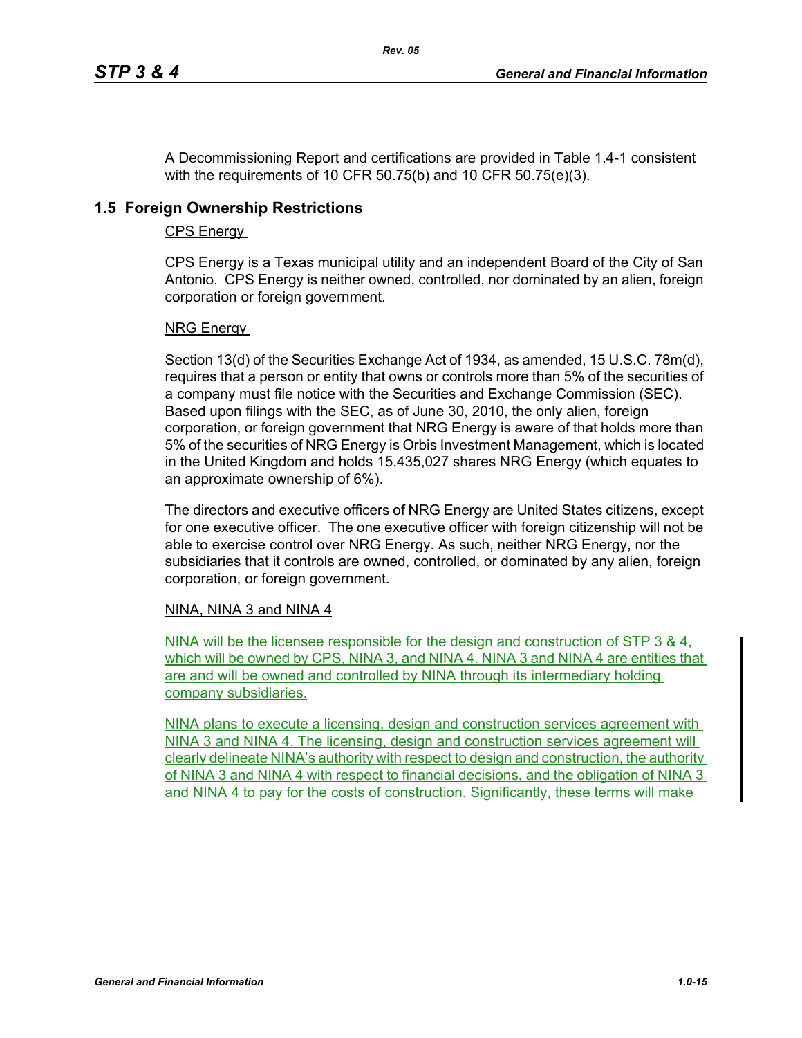A Decommissioning Report and certifications are provided in Table 1.4-1 consistent with the requirements of 10 CFR 50.75(b) and 10 CFR 50.75(e)(3).

*Rev. 05*

### **1.5 Foreign Ownership Restrictions**

#### CPS Energy

CPS Energy is a Texas municipal utility and an independent Board of the City of San Antonio. CPS Energy is neither owned, controlled, nor dominated by an alien, foreign corporation or foreign government.

#### NRG Energy

Section 13(d) of the Securities Exchange Act of 1934, as amended, 15 U.S.C. 78m(d), requires that a person or entity that owns or controls more than 5% of the securities of a company must file notice with the Securities and Exchange Commission (SEC). Based upon filings with the SEC, as of June 30, 2010, the only alien, foreign corporation, or foreign government that NRG Energy is aware of that holds more than 5% of the securities of NRG Energy is Orbis Investment Management, which is located in the United Kingdom and holds 15,435,027 shares NRG Energy (which equates to an approximate ownership of 6%).

The directors and executive officers of NRG Energy are United States citizens, except for one executive officer. The one executive officer with foreign citizenship will not be able to exercise control over NRG Energy. As such, neither NRG Energy, nor the subsidiaries that it controls are owned, controlled, or dominated by any alien, foreign corporation, or foreign government.

#### NINA, NINA 3 and NINA 4

NINA will be the licensee responsible for the design and construction of STP 3 & 4, which will be owned by CPS, NINA 3, and NINA 4. NINA 3 and NINA 4 are entities that are and will be owned and controlled by NINA through its intermediary holding company subsidiaries.

NINA plans to execute a licensing, design and construction services agreement with NINA 3 and NINA 4. The licensing, design and construction services agreement will clearly delineate NINA's authority with respect to design and construction, the authority of NINA 3 and NINA 4 with respect to financial decisions, and the obligation of NINA 3 and NINA 4 to pay for the costs of construction. Significantly, these terms will make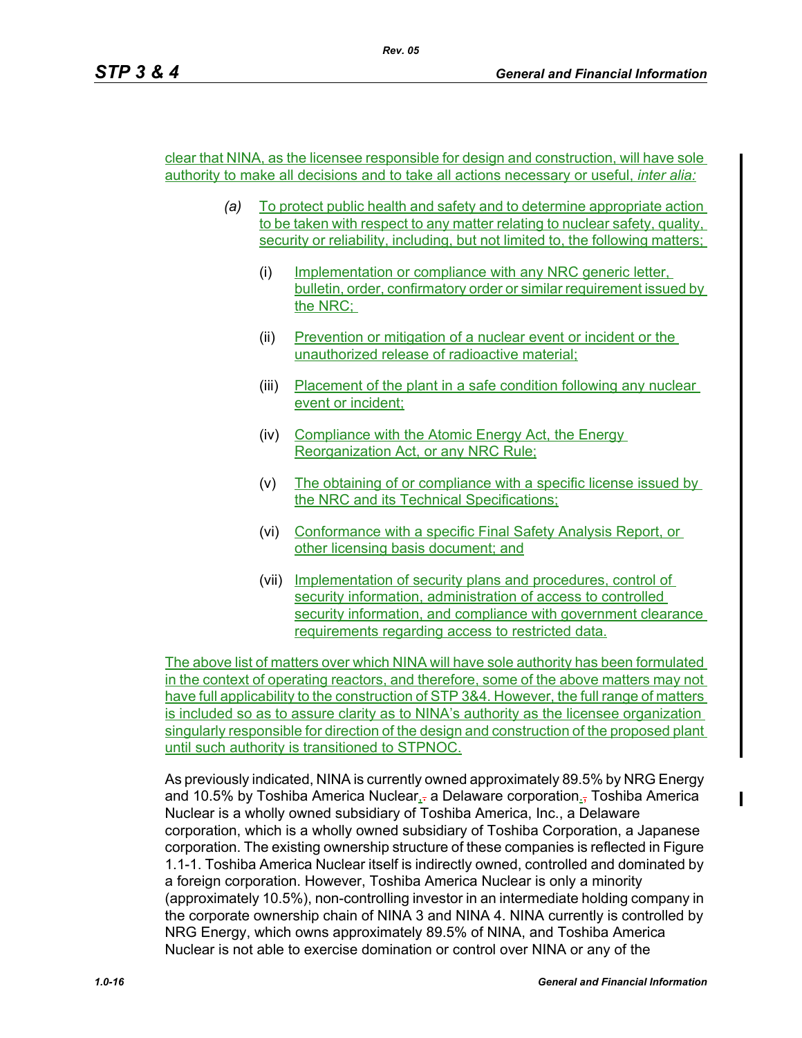clear that NINA, as the licensee responsible for design and construction, will have sole authority to make all decisions and to take all actions necessary or useful, *inter alia:*

- *(a)* To protect public health and safety and to determine appropriate action to be taken with respect to any matter relating to nuclear safety, quality, security or reliability, including, but not limited to, the following matters;
	- (i) Implementation or compliance with any NRC generic letter, bulletin, order, confirmatory order or similar requirement issued by the NRC;
	- (ii) Prevention or mitigation of a nuclear event or incident or the unauthorized release of radioactive material;
	- (iii) Placement of the plant in a safe condition following any nuclear event or incident;
	- (iv) Compliance with the Atomic Energy Act, the Energy Reorganization Act, or any NRC Rule;
	- (v) The obtaining of or compliance with a specific license issued by the NRC and its Technical Specifications;
	- (vi) Conformance with a specific Final Safety Analysis Report, or other licensing basis document; and
	- (vii) Implementation of security plans and procedures, control of security information, administration of access to controlled security information, and compliance with government clearance requirements regarding access to restricted data.

The above list of matters over which NINA will have sole authority has been formulated in the context of operating reactors, and therefore, some of the above matters may not have full applicability to the construction of STP 3&4. However, the full range of matters is included so as to assure clarity as to NINA's authority as the licensee organization singularly responsible for direction of the design and construction of the proposed plant until such authority is transitioned to STPNOC.

As previously indicated, NINA is currently owned approximately 89.5% by NRG Energy and 10.5% by Toshiba America Nuclear,- a Delaware corporation.- Toshiba America Nuclear is a wholly owned subsidiary of Toshiba America, Inc., a Delaware corporation, which is a wholly owned subsidiary of Toshiba Corporation, a Japanese corporation. The existing ownership structure of these companies is reflected in Figure 1.1-1. Toshiba America Nuclear itself is indirectly owned, controlled and dominated by a foreign corporation. However, Toshiba America Nuclear is only a minority (approximately 10.5%), non-controlling investor in an intermediate holding company in the corporate ownership chain of NINA 3 and NINA 4. NINA currently is controlled by NRG Energy, which owns approximately 89.5% of NINA, and Toshiba America Nuclear is not able to exercise domination or control over NINA or any of the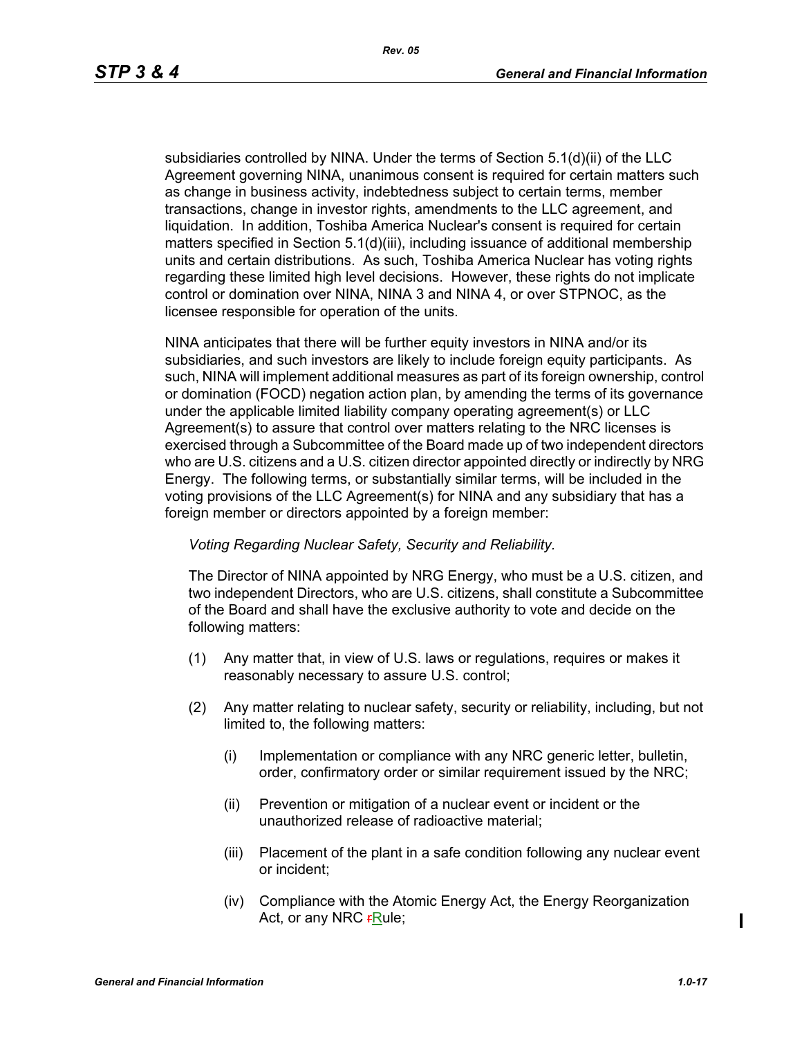subsidiaries controlled by NINA. Under the terms of Section 5.1(d)(ii) of the LLC Agreement governing NINA, unanimous consent is required for certain matters such as change in business activity, indebtedness subject to certain terms, member transactions, change in investor rights, amendments to the LLC agreement, and liquidation. In addition, Toshiba America Nuclear's consent is required for certain matters specified in Section 5.1(d)(iii), including issuance of additional membership units and certain distributions. As such, Toshiba America Nuclear has voting rights regarding these limited high level decisions. However, these rights do not implicate control or domination over NINA, NINA 3 and NINA 4, or over STPNOC, as the licensee responsible for operation of the units.

NINA anticipates that there will be further equity investors in NINA and/or its subsidiaries, and such investors are likely to include foreign equity participants. As such, NINA will implement additional measures as part of its foreign ownership, control or domination (FOCD) negation action plan, by amending the terms of its governance under the applicable limited liability company operating agreement(s) or LLC Agreement(s) to assure that control over matters relating to the NRC licenses is exercised through a Subcommittee of the Board made up of two independent directors who are U.S. citizens and a U.S. citizen director appointed directly or indirectly by NRG Energy. The following terms, or substantially similar terms, will be included in the voting provisions of the LLC Agreement(s) for NINA and any subsidiary that has a foreign member or directors appointed by a foreign member:

#### *Voting Regarding Nuclear Safety, Security and Reliability.*

The Director of NINA appointed by NRG Energy, who must be a U.S. citizen, and two independent Directors, who are U.S. citizens, shall constitute a Subcommittee of the Board and shall have the exclusive authority to vote and decide on the following matters:

- (1) Any matter that, in view of U.S. laws or regulations, requires or makes it reasonably necessary to assure U.S. control;
- (2) Any matter relating to nuclear safety, security or reliability, including, but not limited to, the following matters:
	- (i) Implementation or compliance with any NRC generic letter, bulletin, order, confirmatory order or similar requirement issued by the NRC;
	- (ii) Prevention or mitigation of a nuclear event or incident or the unauthorized release of radioactive material;
	- (iii) Placement of the plant in a safe condition following any nuclear event or incident;
	- (iv) Compliance with the Atomic Energy Act, the Energy Reorganization Act, or any NRC **FRule**;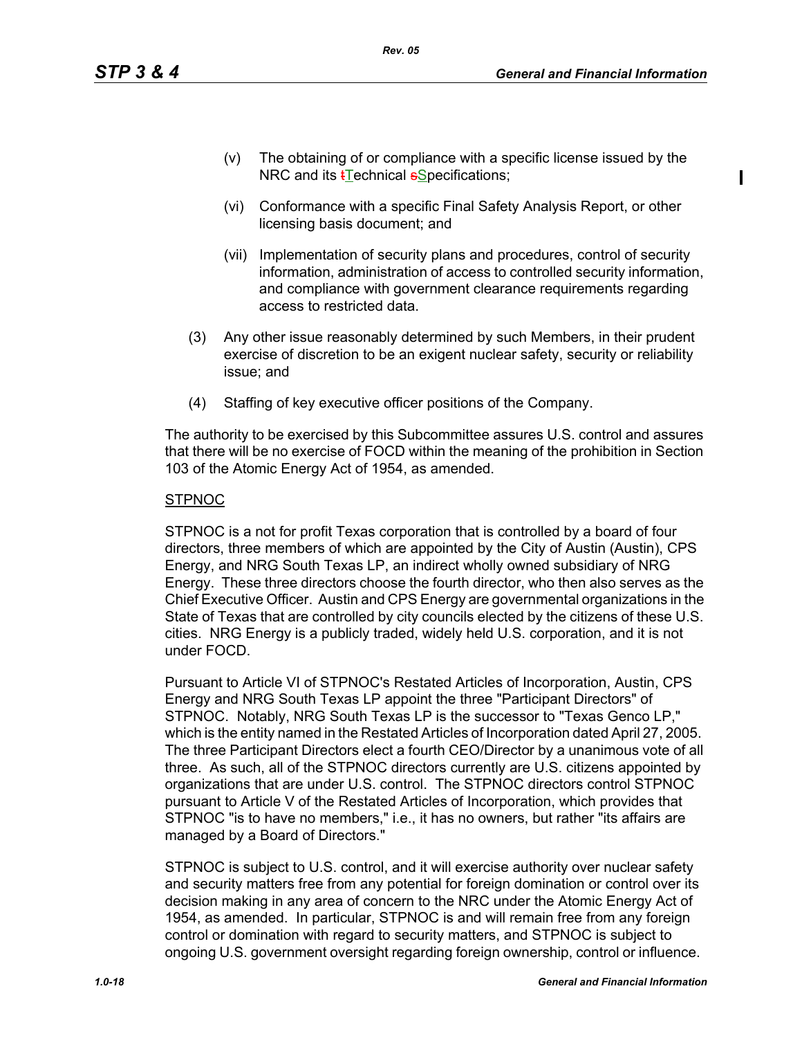- (v) The obtaining of or compliance with a specific license issued by the NRC and its **t**Technical **s**Specifications;
- (vi) Conformance with a specific Final Safety Analysis Report, or other licensing basis document; and
- (vii) Implementation of security plans and procedures, control of security information, administration of access to controlled security information, and compliance with government clearance requirements regarding access to restricted data.
- (3) Any other issue reasonably determined by such Members, in their prudent exercise of discretion to be an exigent nuclear safety, security or reliability issue; and
- (4) Staffing of key executive officer positions of the Company.

*Rev. 05*

The authority to be exercised by this Subcommittee assures U.S. control and assures that there will be no exercise of FOCD within the meaning of the prohibition in Section 103 of the Atomic Energy Act of 1954, as amended.

#### **STPNOC**

STPNOC is a not for profit Texas corporation that is controlled by a board of four directors, three members of which are appointed by the City of Austin (Austin), CPS Energy, and NRG South Texas LP, an indirect wholly owned subsidiary of NRG Energy. These three directors choose the fourth director, who then also serves as the Chief Executive Officer. Austin and CPS Energy are governmental organizations in the State of Texas that are controlled by city councils elected by the citizens of these U.S. cities. NRG Energy is a publicly traded, widely held U.S. corporation, and it is not under FOCD.

Pursuant to Article VI of STPNOC's Restated Articles of Incorporation, Austin, CPS Energy and NRG South Texas LP appoint the three "Participant Directors" of STPNOC. Notably, NRG South Texas LP is the successor to "Texas Genco LP," which is the entity named in the Restated Articles of Incorporation dated April 27, 2005. The three Participant Directors elect a fourth CEO/Director by a unanimous vote of all three. As such, all of the STPNOC directors currently are U.S. citizens appointed by organizations that are under U.S. control. The STPNOC directors control STPNOC pursuant to Article V of the Restated Articles of Incorporation, which provides that STPNOC "is to have no members," i.e., it has no owners, but rather "its affairs are managed by a Board of Directors."

STPNOC is subject to U.S. control, and it will exercise authority over nuclear safety and security matters free from any potential for foreign domination or control over its decision making in any area of concern to the NRC under the Atomic Energy Act of 1954, as amended. In particular, STPNOC is and will remain free from any foreign control or domination with regard to security matters, and STPNOC is subject to ongoing U.S. government oversight regarding foreign ownership, control or influence.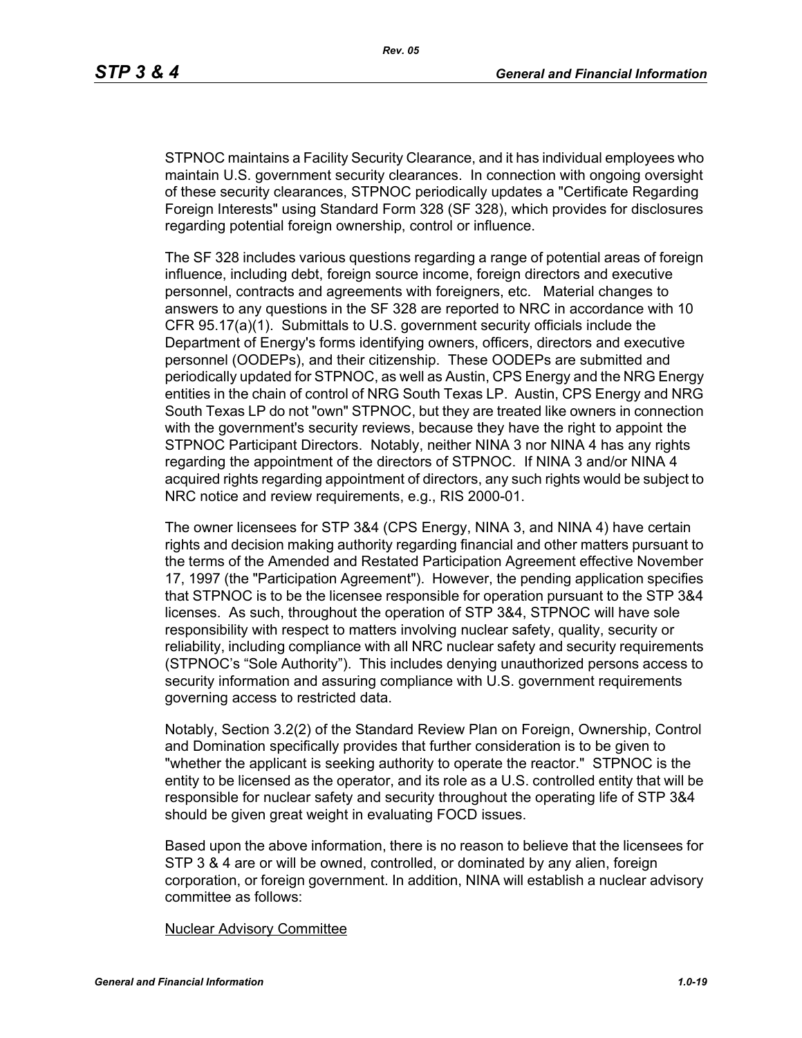STPNOC maintains a Facility Security Clearance, and it has individual employees who maintain U.S. government security clearances. In connection with ongoing oversight of these security clearances, STPNOC periodically updates a "Certificate Regarding Foreign Interests" using Standard Form 328 (SF 328), which provides for disclosures regarding potential foreign ownership, control or influence.

The SF 328 includes various questions regarding a range of potential areas of foreign influence, including debt, foreign source income, foreign directors and executive personnel, contracts and agreements with foreigners, etc. Material changes to answers to any questions in the SF 328 are reported to NRC in accordance with 10 CFR 95.17(a)(1). Submittals to U.S. government security officials include the Department of Energy's forms identifying owners, officers, directors and executive personnel (OODEPs), and their citizenship. These OODEPs are submitted and periodically updated for STPNOC, as well as Austin, CPS Energy and the NRG Energy entities in the chain of control of NRG South Texas LP. Austin, CPS Energy and NRG South Texas LP do not "own" STPNOC, but they are treated like owners in connection with the government's security reviews, because they have the right to appoint the STPNOC Participant Directors. Notably, neither NINA 3 nor NINA 4 has any rights regarding the appointment of the directors of STPNOC. If NINA 3 and/or NINA 4 acquired rights regarding appointment of directors, any such rights would be subject to NRC notice and review requirements, e.g., RIS 2000-01.

The owner licensees for STP 3&4 (CPS Energy, NINA 3, and NINA 4) have certain rights and decision making authority regarding financial and other matters pursuant to the terms of the Amended and Restated Participation Agreement effective November 17, 1997 (the "Participation Agreement"). However, the pending application specifies that STPNOC is to be the licensee responsible for operation pursuant to the STP 3&4 licenses. As such, throughout the operation of STP 3&4, STPNOC will have sole responsibility with respect to matters involving nuclear safety, quality, security or reliability, including compliance with all NRC nuclear safety and security requirements (STPNOC's "Sole Authority"). This includes denying unauthorized persons access to security information and assuring compliance with U.S. government requirements governing access to restricted data.

Notably, Section 3.2(2) of the Standard Review Plan on Foreign, Ownership, Control and Domination specifically provides that further consideration is to be given to "whether the applicant is seeking authority to operate the reactor." STPNOC is the entity to be licensed as the operator, and its role as a U.S. controlled entity that will be responsible for nuclear safety and security throughout the operating life of STP 3&4 should be given great weight in evaluating FOCD issues.

Based upon the above information, there is no reason to believe that the licensees for STP 3 & 4 are or will be owned, controlled, or dominated by any alien, foreign corporation, or foreign government. In addition, NINA will establish a nuclear advisory committee as follows:

#### Nuclear Advisory Committee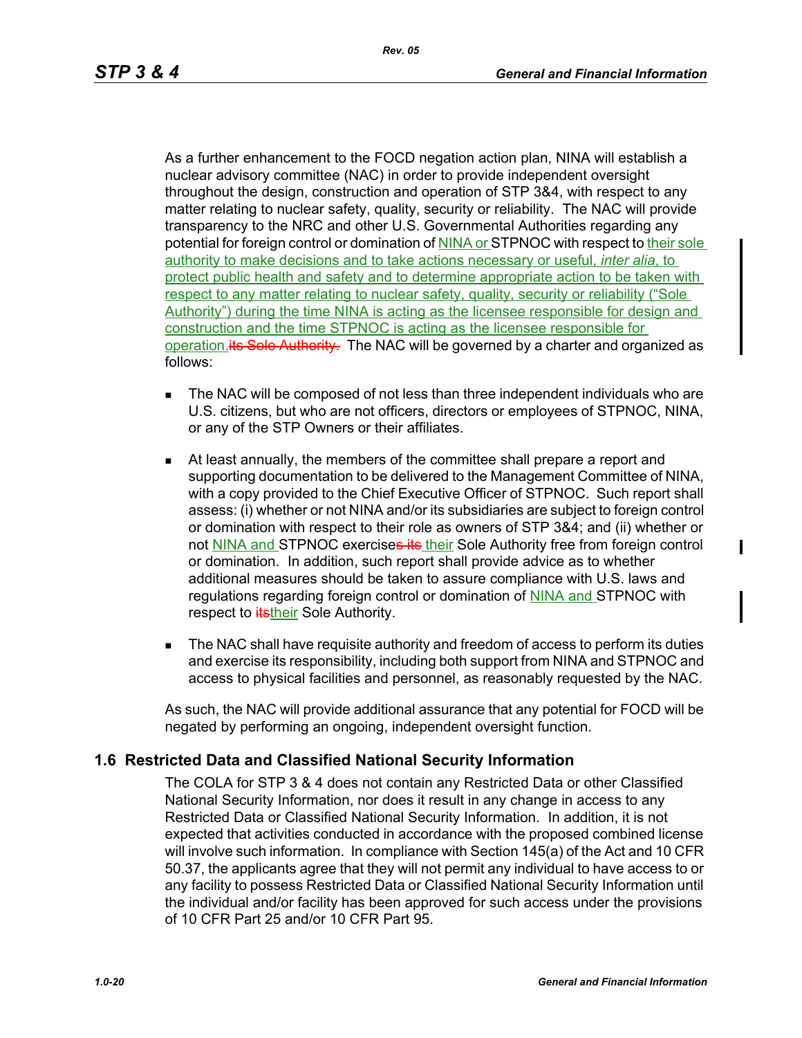As a further enhancement to the FOCD negation action plan, NINA will establish a nuclear advisory committee (NAC) in order to provide independent oversight throughout the design, construction and operation of STP 3&4, with respect to any matter relating to nuclear safety, quality, security or reliability. The NAC will provide transparency to the NRC and other U.S. Governmental Authorities regarding any potential for foreign control or domination of NINA or STPNOC with respect to their sole authority to make decisions and to take actions necessary or useful, *inter alia*, to protect public health and safety and to determine appropriate action to be taken with respect to any matter relating to nuclear safety, quality, security or reliability ("Sole Authority") during the time NINA is acting as the licensee responsible for design and construction and the time STPNOC is acting as the licensee responsible for operation. *its Sole Authority*. The NAC will be governed by a charter and organized as follows:

- **The NAC will be composed of not less than three independent individuals who are** U.S. citizens, but who are not officers, directors or employees of STPNOC, NINA, or any of the STP Owners or their affiliates.
- At least annually, the members of the committee shall prepare a report and supporting documentation to be delivered to the Management Committee of NINA, with a copy provided to the Chief Executive Officer of STPNOC. Such report shall assess: (i) whether or not NINA and/or its subsidiaries are subject to foreign control or domination with respect to their role as owners of STP 3&4; and (ii) whether or not NINA and STPNOC exercises its their Sole Authority free from foreign control or domination. In addition, such report shall provide advice as to whether additional measures should be taken to assure compliance with U.S. laws and regulations regarding foreign control or domination of NINA and STPNOC with respect to **itstheir** Sole Authority.
- The NAC shall have requisite authority and freedom of access to perform its duties and exercise its responsibility, including both support from NINA and STPNOC and access to physical facilities and personnel, as reasonably requested by the NAC.

As such, the NAC will provide additional assurance that any potential for FOCD will be negated by performing an ongoing, independent oversight function.

# **1.6 Restricted Data and Classified National Security Information**

The COLA for STP 3 & 4 does not contain any Restricted Data or other Classified National Security Information, nor does it result in any change in access to any Restricted Data or Classified National Security Information. In addition, it is not expected that activities conducted in accordance with the proposed combined license will involve such information. In compliance with Section 145(a) of the Act and 10 CFR 50.37, the applicants agree that they will not permit any individual to have access to or any facility to possess Restricted Data or Classified National Security Information until the individual and/or facility has been approved for such access under the provisions of 10 CFR Part 25 and/or 10 CFR Part 95.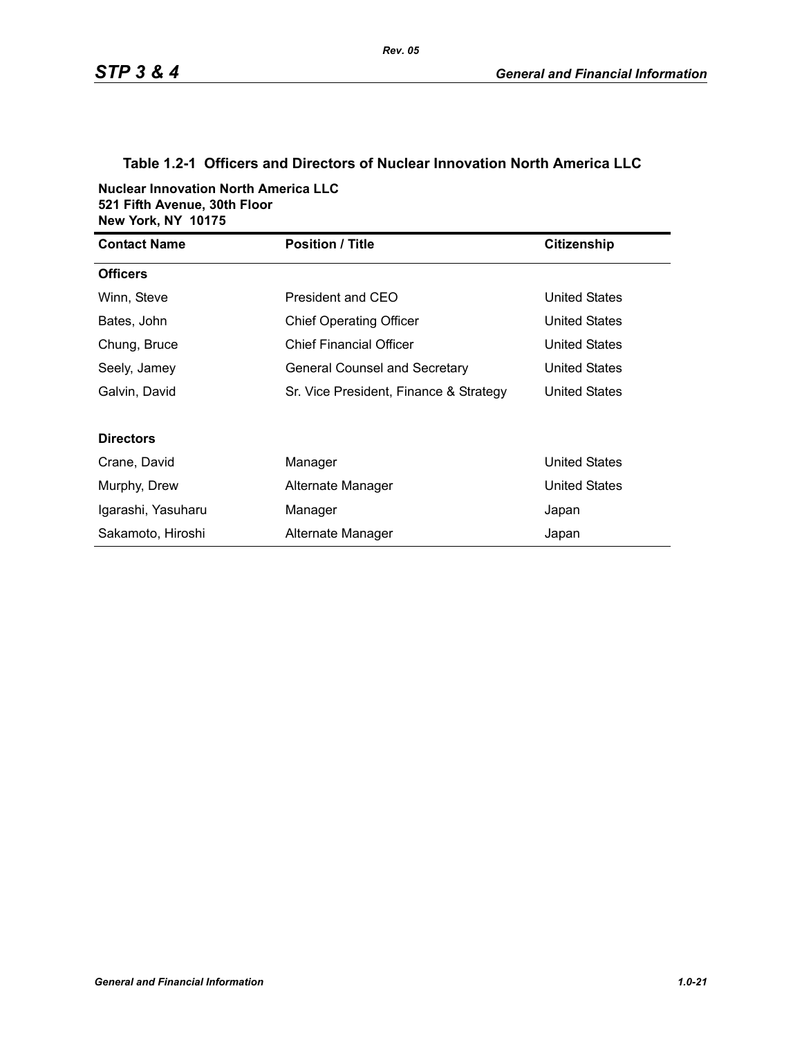# **Table 1.2-1 Officers and Directors of Nuclear Innovation North America LLC**

**Nuclear Innovation North America LLC 521 Fifth Avenue, 30th Floor New York, NY 10175**

| <b>Contact Name</b> | <b>Position / Title</b>                | <b>Citizenship</b>   |
|---------------------|----------------------------------------|----------------------|
| <b>Officers</b>     |                                        |                      |
| Winn, Steve         | President and CEO                      | United States        |
| Bates, John         | <b>Chief Operating Officer</b>         | <b>United States</b> |
| Chung, Bruce        | <b>Chief Financial Officer</b>         | <b>United States</b> |
| Seely, Jamey        | General Counsel and Secretary          | United States        |
| Galvin, David       | Sr. Vice President, Finance & Strategy | United States        |
|                     |                                        |                      |
| <b>Directors</b>    |                                        |                      |
| Crane, David        | Manager                                | <b>United States</b> |
| Murphy, Drew        | Alternate Manager                      | <b>United States</b> |
| Igarashi, Yasuharu  | Manager                                | Japan                |
| Sakamoto, Hiroshi   | Alternate Manager                      | Japan                |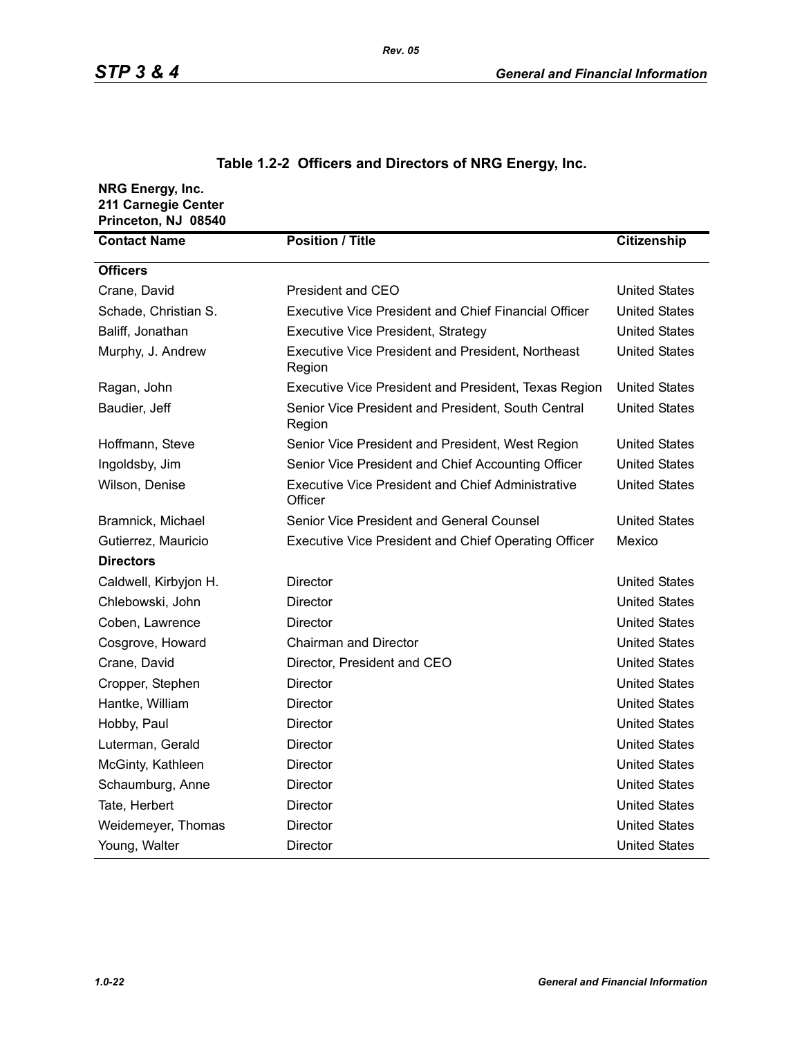| NRG Energy, Inc.<br>211 Carnegie Center<br>Princeton, NJ 08540 |                                                                     |                      |
|----------------------------------------------------------------|---------------------------------------------------------------------|----------------------|
| <b>Contact Name</b>                                            | <b>Position / Title</b>                                             | <b>Citizenship</b>   |
| <b>Officers</b>                                                |                                                                     |                      |
| Crane, David                                                   | President and CEO                                                   | <b>United States</b> |
| Schade, Christian S.                                           | <b>Executive Vice President and Chief Financial Officer</b>         | <b>United States</b> |
| Baliff, Jonathan                                               | <b>Executive Vice President, Strategy</b>                           | <b>United States</b> |
| Murphy, J. Andrew                                              | <b>Executive Vice President and President, Northeast</b><br>Region  | <b>United States</b> |
| Ragan, John                                                    | Executive Vice President and President, Texas Region                | <b>United States</b> |
| Baudier, Jeff                                                  | Senior Vice President and President, South Central<br>Region        | <b>United States</b> |
| Hoffmann, Steve                                                | Senior Vice President and President, West Region                    | <b>United States</b> |
| Ingoldsby, Jim                                                 | Senior Vice President and Chief Accounting Officer                  | <b>United States</b> |
| Wilson, Denise                                                 | <b>Executive Vice President and Chief Administrative</b><br>Officer | <b>United States</b> |
| Bramnick, Michael                                              | Senior Vice President and General Counsel                           | <b>United States</b> |
| Gutierrez, Mauricio                                            | Executive Vice President and Chief Operating Officer                | Mexico               |
| <b>Directors</b>                                               |                                                                     |                      |
| Caldwell, Kirbyjon H.                                          | Director                                                            | <b>United States</b> |
| Chlebowski, John                                               | <b>Director</b>                                                     | <b>United States</b> |
| Coben, Lawrence                                                | Director                                                            | <b>United States</b> |
| Cosgrove, Howard                                               | <b>Chairman and Director</b>                                        | <b>United States</b> |
| Crane, David                                                   | Director, President and CEO                                         | <b>United States</b> |
| Cropper, Stephen                                               | Director                                                            | <b>United States</b> |
| Hantke, William                                                | Director                                                            | <b>United States</b> |
| Hobby, Paul                                                    | <b>Director</b>                                                     | <b>United States</b> |
| Luterman, Gerald                                               | Director                                                            | <b>United States</b> |
| McGinty, Kathleen                                              | Director                                                            | <b>United States</b> |
| Schaumburg, Anne                                               | <b>Director</b>                                                     | <b>United States</b> |
| Tate, Herbert                                                  | Director                                                            | <b>United States</b> |
| Weidemeyer, Thomas                                             | Director                                                            | <b>United States</b> |
| Young, Walter                                                  | Director                                                            | <b>United States</b> |

# **Table 1.2-2 Officers and Directors of NRG Energy, Inc.**

*Rev. 05*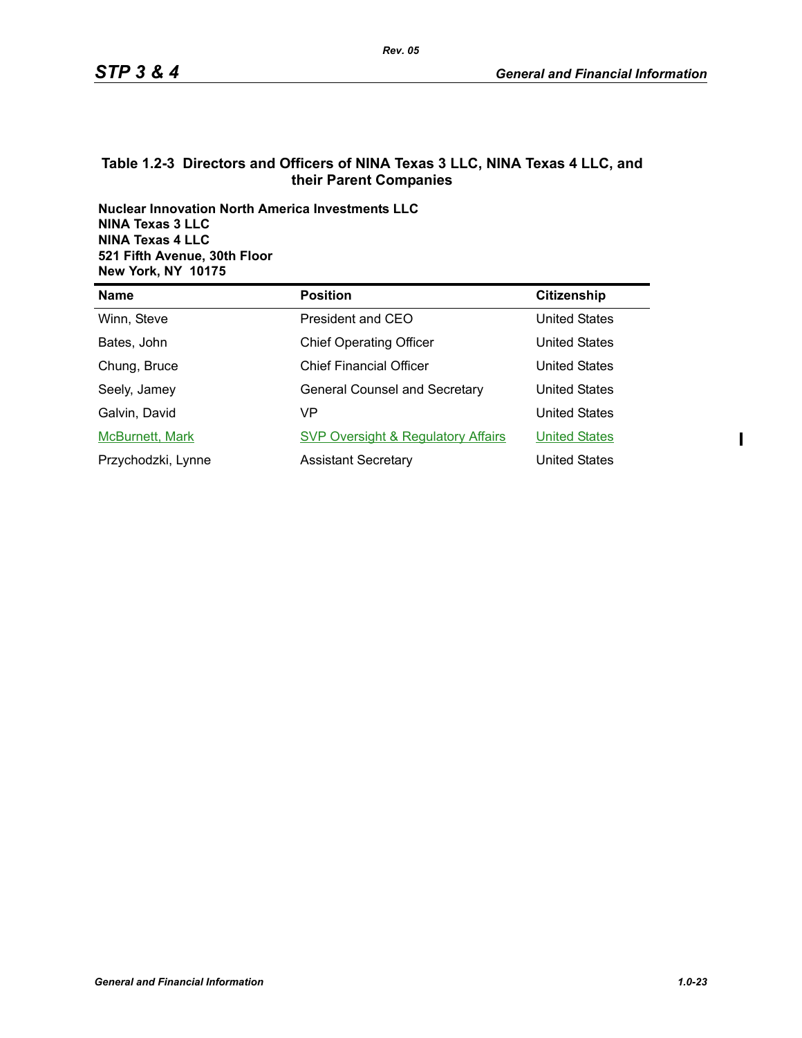### **Table 1.2-3 Directors and Officers of NINA Texas 3 LLC, NINA Texas 4 LLC, and their Parent Companies**

**Nuclear Innovation North America Investments LLC NINA Texas 3 LLC NINA Texas 4 LLC 521 Fifth Avenue, 30th Floor New York, NY 10175**

| <b>Name</b>        | <b>Position</b>                               | Citizenship          |
|--------------------|-----------------------------------------------|----------------------|
| Winn, Steve        | President and CEO                             | United States        |
| Bates, John        | <b>Chief Operating Officer</b>                | United States        |
| Chung, Bruce       | <b>Chief Financial Officer</b>                | <b>United States</b> |
| Seely, Jamey       | <b>General Counsel and Secretary</b>          | <b>United States</b> |
| Galvin, David      | VP                                            | <b>United States</b> |
| McBurnett, Mark    | <b>SVP Oversight &amp; Regulatory Affairs</b> | <b>United States</b> |
| Przychodzki, Lynne | <b>Assistant Secretary</b>                    | United States        |

 $\mathbf{I}$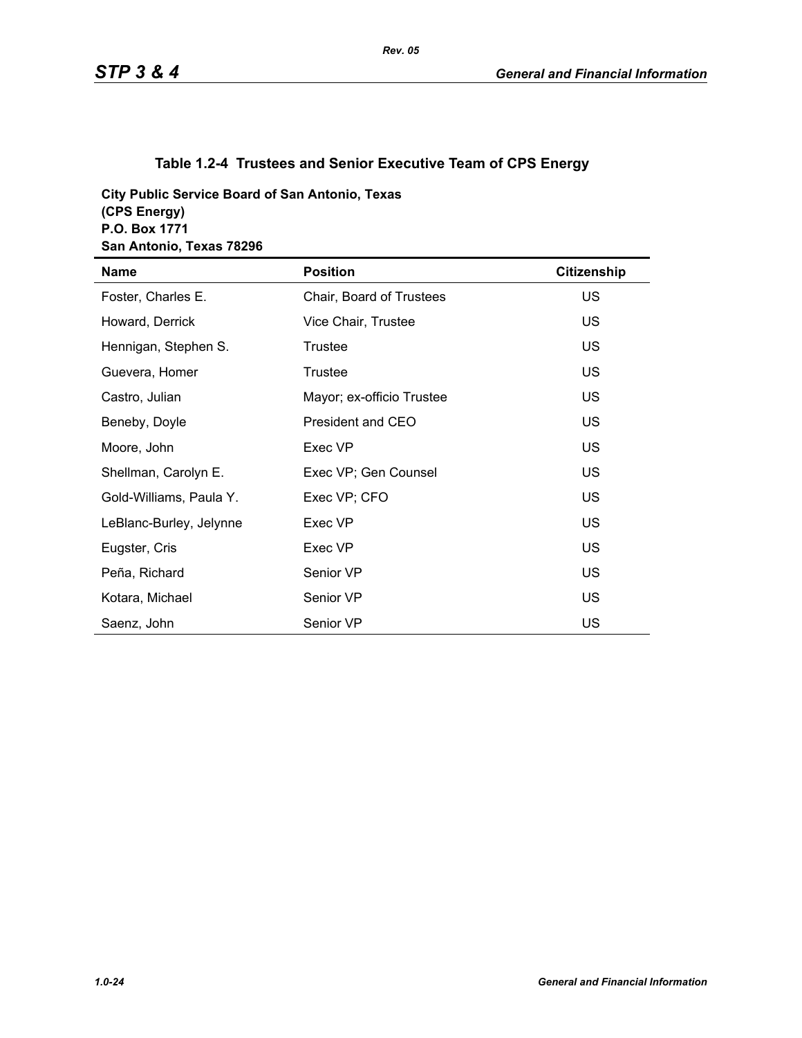# **Table 1.2-4 Trustees and Senior Executive Team of CPS Energy**

**City Public Service Board of San Antonio, Texas (CPS Energy) P.O. Box 1771 San Antonio, Texas 78296**

| <b>Name</b>             | <b>Position</b>           | <b>Citizenship</b> |
|-------------------------|---------------------------|--------------------|
| Foster, Charles E.      | Chair, Board of Trustees  | <b>US</b>          |
| Howard, Derrick         | Vice Chair, Trustee       | <b>US</b>          |
| Hennigan, Stephen S.    | Trustee                   | <b>US</b>          |
| Guevera, Homer          | <b>Trustee</b>            | <b>US</b>          |
| Castro, Julian          | Mayor; ex-officio Trustee | US.                |
| Beneby, Doyle           | President and CEO         | <b>US</b>          |
| Moore, John             | Exec VP                   | <b>US</b>          |
| Shellman, Carolyn E.    | Exec VP; Gen Counsel      | <b>US</b>          |
| Gold-Williams, Paula Y. | Exec VP; CFO              | US.                |
| LeBlanc-Burley, Jelynne | Exec VP                   | <b>US</b>          |
| Eugster, Cris           | Exec VP                   | <b>US</b>          |
| Peña, Richard           | Senior VP                 | US.                |
| Kotara, Michael         | Senior VP                 | US.                |
| Saenz, John             | Senior VP                 | <b>US</b>          |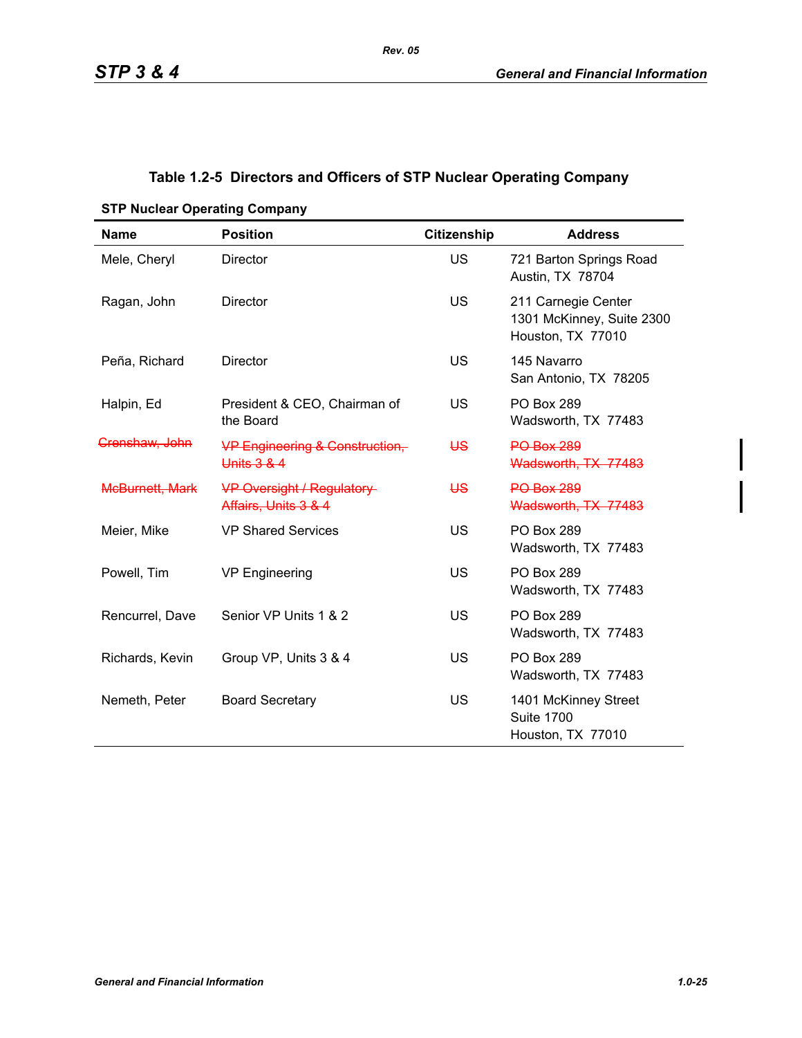# **Table 1.2-5 Directors and Officers of STP Nuclear Operating Company**

| <b>Name</b>               | <b>Position</b>                                           | <b>Citizenship</b> | <b>Address</b>                                                        |
|---------------------------|-----------------------------------------------------------|--------------------|-----------------------------------------------------------------------|
| Mele, Cheryl              | <b>Director</b>                                           | <b>US</b>          | 721 Barton Springs Road<br>Austin, TX 78704                           |
| Ragan, John               | Director                                                  | <b>US</b>          | 211 Carnegie Center<br>1301 McKinney, Suite 2300<br>Houston, TX 77010 |
| Peña, Richard             | <b>Director</b>                                           | <b>US</b>          | 145 Navarro<br>San Antonio, TX 78205                                  |
| Halpin, Ed                | President & CEO, Chairman of<br>the Board                 | US                 | <b>PO Box 289</b><br>Wadsworth, TX 77483                              |
| <del>Crenshaw, John</del> | <b>VP Engineering &amp; Construction,-</b><br>Units 3 & 4 | <del>US</del>      | <b>PO Box 289</b><br>Wadsworth, TX 77483                              |
| <b>McBurnett, Mark</b>    | <b>VP Oversight / Regulatory</b><br>Affairs, Units 3 & 4  | ₩                  | <b>PO Box 289</b><br>Wadsworth, TX 77483                              |
| Meier, Mike               | <b>VP Shared Services</b>                                 | US                 | <b>PO Box 289</b><br>Wadsworth, TX 77483                              |
| Powell, Tim               | <b>VP Engineering</b>                                     | <b>US</b>          | <b>PO Box 289</b><br>Wadsworth, TX 77483                              |
| Rencurrel, Dave           | Senior VP Units 1 & 2                                     | <b>US</b>          | <b>PO Box 289</b><br>Wadsworth, TX 77483                              |
| Richards, Kevin           | Group VP, Units 3 & 4                                     | <b>US</b>          | <b>PO Box 289</b><br>Wadsworth, TX 77483                              |
| Nemeth, Peter             | <b>Board Secretary</b>                                    | <b>US</b>          | 1401 McKinney Street<br><b>Suite 1700</b><br>Houston, TX 77010        |

**STP Nuclear Operating Company**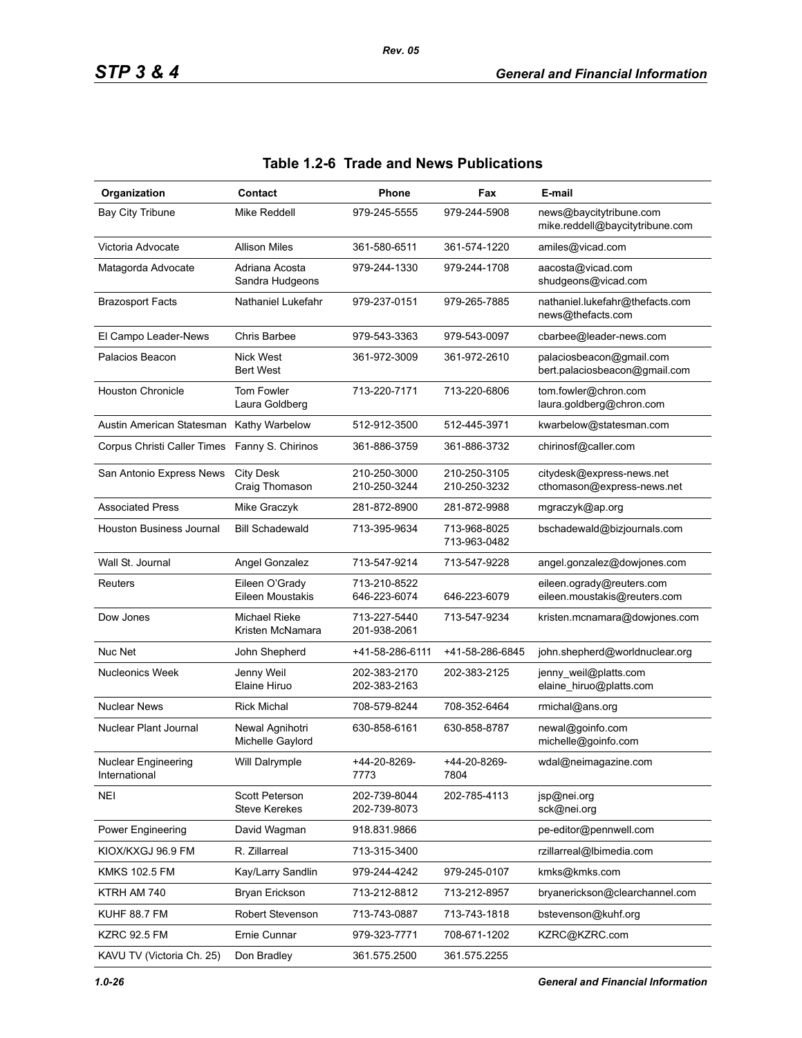| Organization                         | Contact                                       | Phone                        | Fax                          | E-mail                                                     |
|--------------------------------------|-----------------------------------------------|------------------------------|------------------------------|------------------------------------------------------------|
| Bay City Tribune                     | Mike Reddell                                  | 979-245-5555                 | 979-244-5908                 | news@baycitytribune.com<br>mike.reddell@baycitytribune.com |
| Victoria Advocate                    | <b>Allison Miles</b>                          | 361-580-6511                 | 361-574-1220                 | amiles@vicad.com                                           |
| Matagorda Advocate                   | Adriana Acosta<br>Sandra Hudgeons             | 979-244-1330                 | 979-244-1708                 | aacosta@vicad.com<br>shudgeons@vicad.com                   |
| <b>Brazosport Facts</b>              | Nathaniel Lukefahr                            | 979-237-0151                 | 979-265-7885                 | nathaniel.lukefahr@thefacts.com<br>news@thefacts.com       |
| El Campo Leader-News                 | <b>Chris Barbee</b>                           | 979-543-3363                 | 979-543-0097                 | cbarbee@leader-news.com                                    |
| Palacios Beacon                      | <b>Nick West</b><br><b>Bert West</b>          | 361-972-3009                 | 361-972-2610                 | palaciosbeacon@gmail.com<br>bert.palaciosbeacon@gmail.com  |
| <b>Houston Chronicle</b>             | Tom Fowler<br>Laura Goldberg                  | 713-220-7171                 | 713-220-6806                 | tom.fowler@chron.com<br>laura.goldberg@chron.com           |
| Austin American Statesman            | Kathy Warbelow                                | 512-912-3500                 | 512-445-3971                 | kwarbelow@statesman.com                                    |
| Corpus Christi Caller Times          | Fanny S. Chirinos                             | 361-886-3759                 | 361-886-3732                 | chirinosf@caller.com                                       |
| San Antonio Express News             | <b>City Desk</b><br>Craig Thomason            | 210-250-3000<br>210-250-3244 | 210-250-3105<br>210-250-3232 | citydesk@express-news.net<br>cthomason@express-news.net    |
| <b>Associated Press</b>              | Mike Graczyk                                  | 281-872-8900                 | 281-872-9988                 | mgraczyk@ap.org                                            |
| Houston Business Journal             | <b>Bill Schadewald</b>                        | 713-395-9634                 | 713-968-8025<br>713-963-0482 | bschadewald@bizjournals.com                                |
| Wall St. Journal                     | Angel Gonzalez                                | 713-547-9214                 | 713-547-9228                 | angel.gonzalez@dowjones.com                                |
| Reuters                              | Eileen O'Grady<br>Eileen Moustakis            | 713-210-8522<br>646-223-6074 | 646-223-6079                 | eileen.ogrady@reuters.com<br>eileen.moustakis@reuters.com  |
| Dow Jones                            | Michael Rieke<br>Kristen McNamara             | 713-227-5440<br>201-938-2061 | 713-547-9234                 | kristen.mcnamara@dowjones.com                              |
| Nuc Net                              | John Shepherd                                 | +41-58-286-6111              | +41-58-286-6845              | john.shepherd@worldnuclear.org                             |
| <b>Nucleonics Week</b>               | Jenny Weil<br>Elaine Hiruo                    | 202-383-2170<br>202-383-2163 | 202-383-2125                 | jenny_weil@platts.com<br>elaine_hiruo@platts.com           |
| <b>Nuclear News</b>                  | <b>Rick Michal</b>                            | 708-579-8244                 | 708-352-6464                 | rmichal@ans.org                                            |
| Nuclear Plant Journal                | Newal Agnihotri<br>Michelle Gaylord           | 630-858-6161                 | 630-858-8787                 | newal@goinfo.com<br>michelle@goinfo.com                    |
| Nuclear Engineering<br>International | Will Dalrymple                                | +44-20-8269-<br>7773         | +44-20-8269-<br>7804         | wdal@neimagazine.com                                       |
| <b>NEI</b>                           | <b>Scott Peterson</b><br><b>Steve Kerekes</b> | 202-739-8044<br>202-739-8073 | 202-785-4113                 | jsp@nei.org<br>sck@nei.org                                 |
| Power Engineering                    | David Wagman                                  | 918.831.9866                 |                              | pe-editor@pennwell.com                                     |
| KIOX/KXGJ 96.9 FM                    | R. Zillarreal                                 | 713-315-3400                 |                              | rzillarreal@lbimedia.com                                   |
| <b>KMKS 102.5 FM</b>                 | Kay/Larry Sandlin                             | 979-244-4242                 | 979-245-0107                 | kmks@kmks.com                                              |
| KTRH AM 740                          | Bryan Erickson                                | 713-212-8812                 | 713-212-8957                 | bryanerickson@clearchannel.com                             |
| KUHF 88.7 FM                         | Robert Stevenson                              | 713-743-0887                 | 713-743-1818                 | bstevenson@kuhf.org                                        |
| <b>KZRC 92.5 FM</b>                  | Ernie Cunnar                                  | 979-323-7771                 | 708-671-1202                 | KZRC@KZRC.com                                              |
| KAVU TV (Victoria Ch. 25)            | Don Bradley                                   | 361.575.2500                 | 361.575.2255                 |                                                            |

# **Table 1.2-6 Trade and News Publications**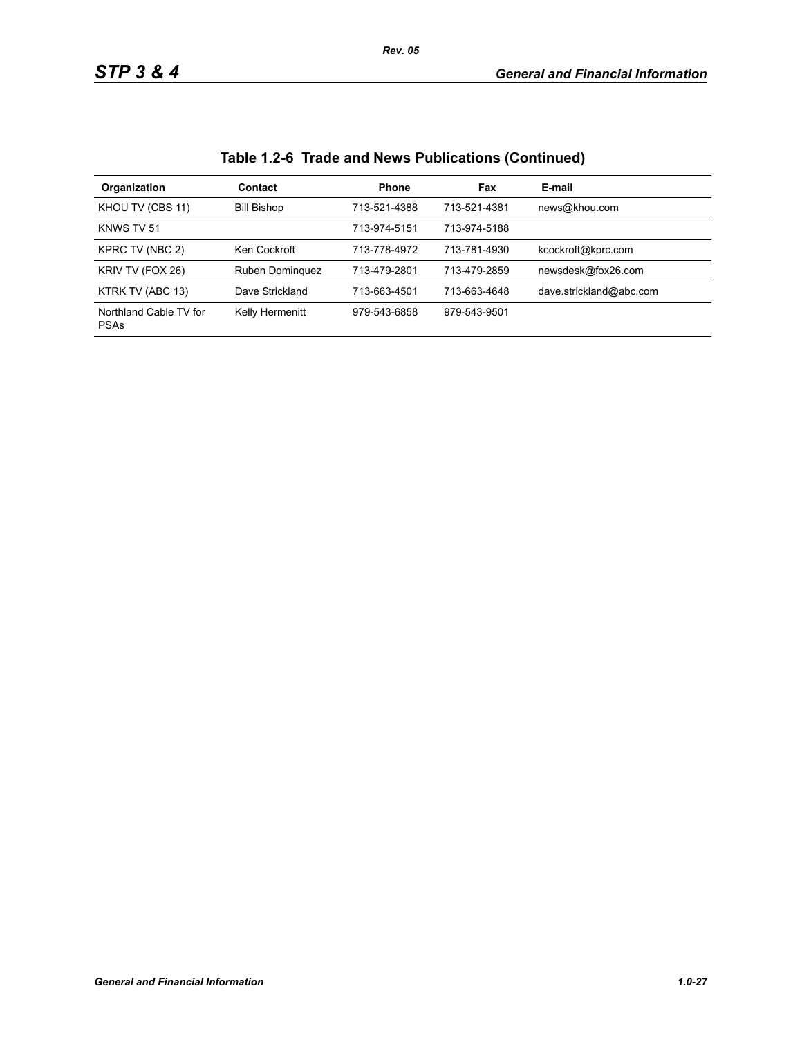| Organization                          | <b>Contact</b>     | <b>Phone</b> | Fax          | E-mail                  |
|---------------------------------------|--------------------|--------------|--------------|-------------------------|
| KHOU TV (CBS 11)                      | <b>Bill Bishop</b> | 713-521-4388 | 713-521-4381 | news@khou.com           |
| KNWS TV 51                            |                    | 713-974-5151 | 713-974-5188 |                         |
| KPRC TV (NBC 2)                       | Ken Cockroft       | 713-778-4972 | 713-781-4930 | kcockroft@kprc.com      |
| KRIV TV (FOX 26)                      | Ruben Dominguez    | 713-479-2801 | 713-479-2859 | newsdesk@fox26.com      |
| KTRK TV (ABC 13)                      | Dave Strickland    | 713-663-4501 | 713-663-4648 | dave.strickland@abc.com |
| Northland Cable TV for<br><b>PSAs</b> | Kelly Hermenitt    | 979-543-6858 | 979-543-9501 |                         |

# **Table 1.2-6 Trade and News Publications (Continued)**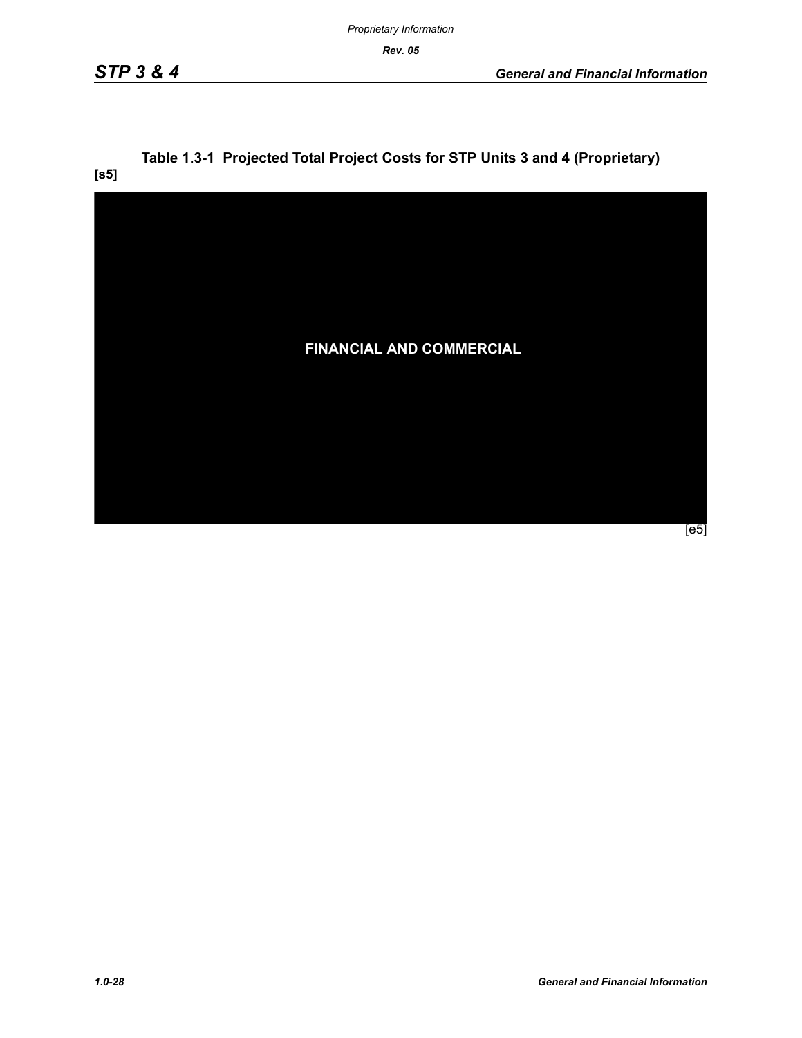*Rev. 05*

# **Table 1.3-1 Projected Total Project Costs for STP Units 3 and 4 (Proprietary)**

**[s5]**

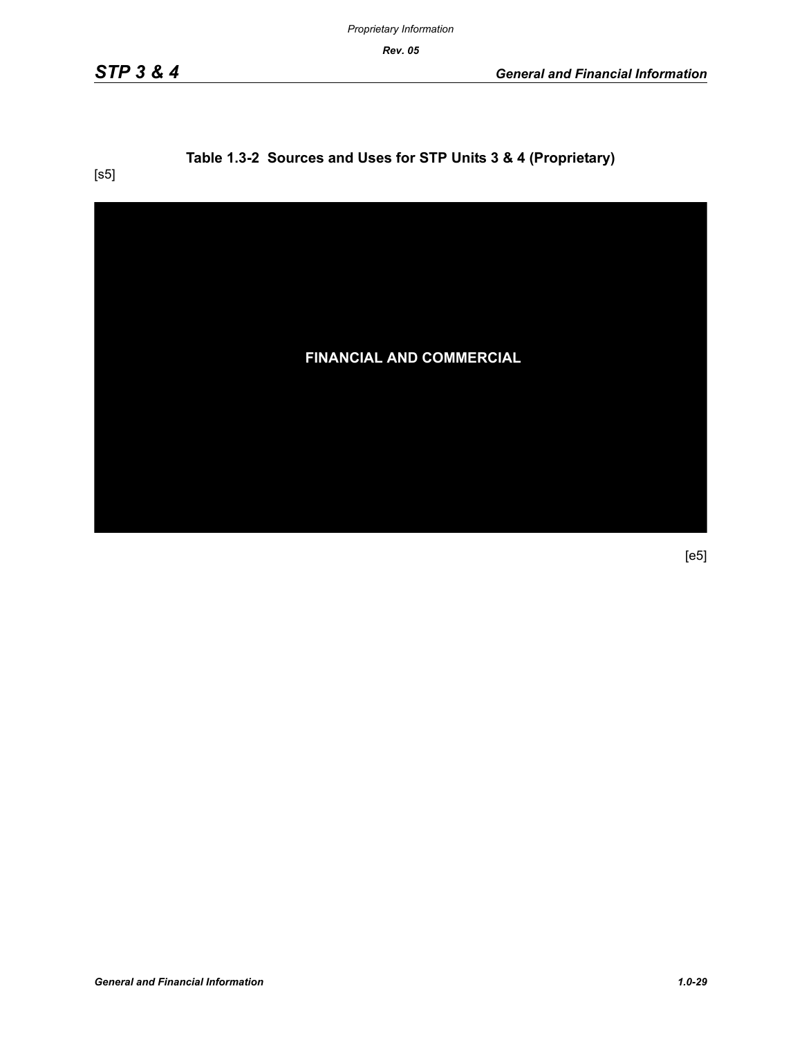*Proprietary Information*

*Rev. 05*

# **Table 1.3-2 Sources and Uses for STP Units 3 & 4 (Proprietary)**

[s5]

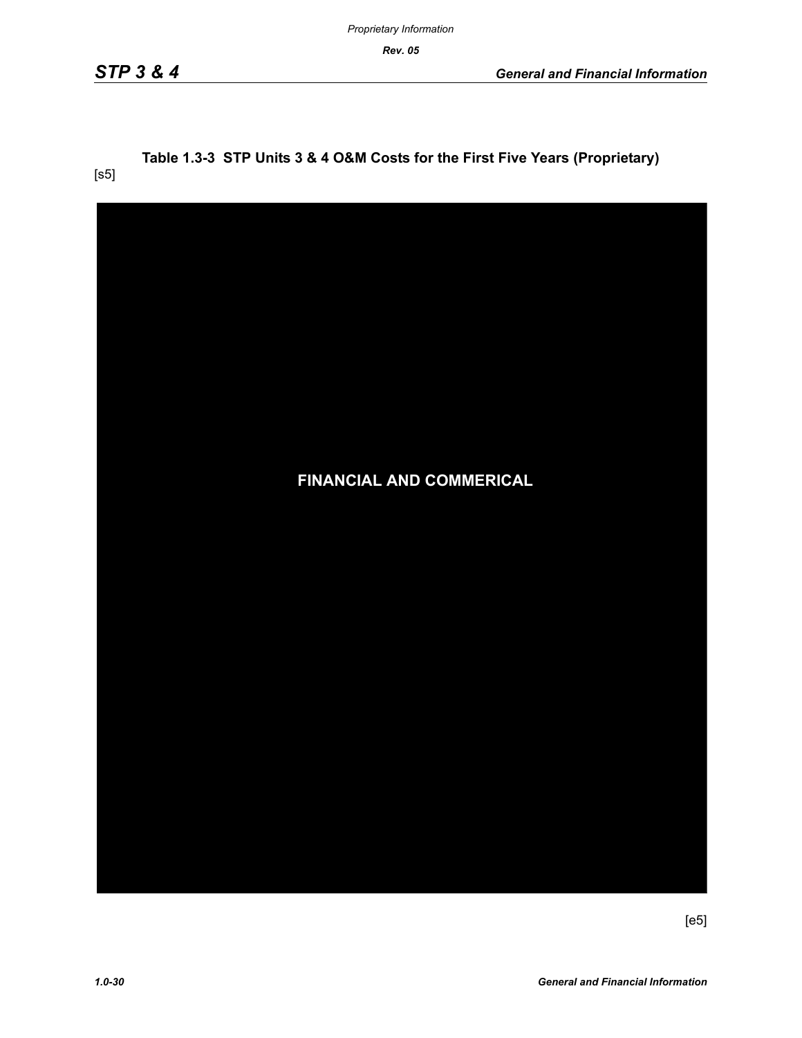*Rev. 05* 

[s5]

# **Table 1.3-3 STP Units 3 & 4 O&M Costs for the First Five Years (Proprietary)**

| <b>FINANCIAL AND COMMERICAL</b> |
|---------------------------------|
|                                 |
|                                 |
|                                 |
|                                 |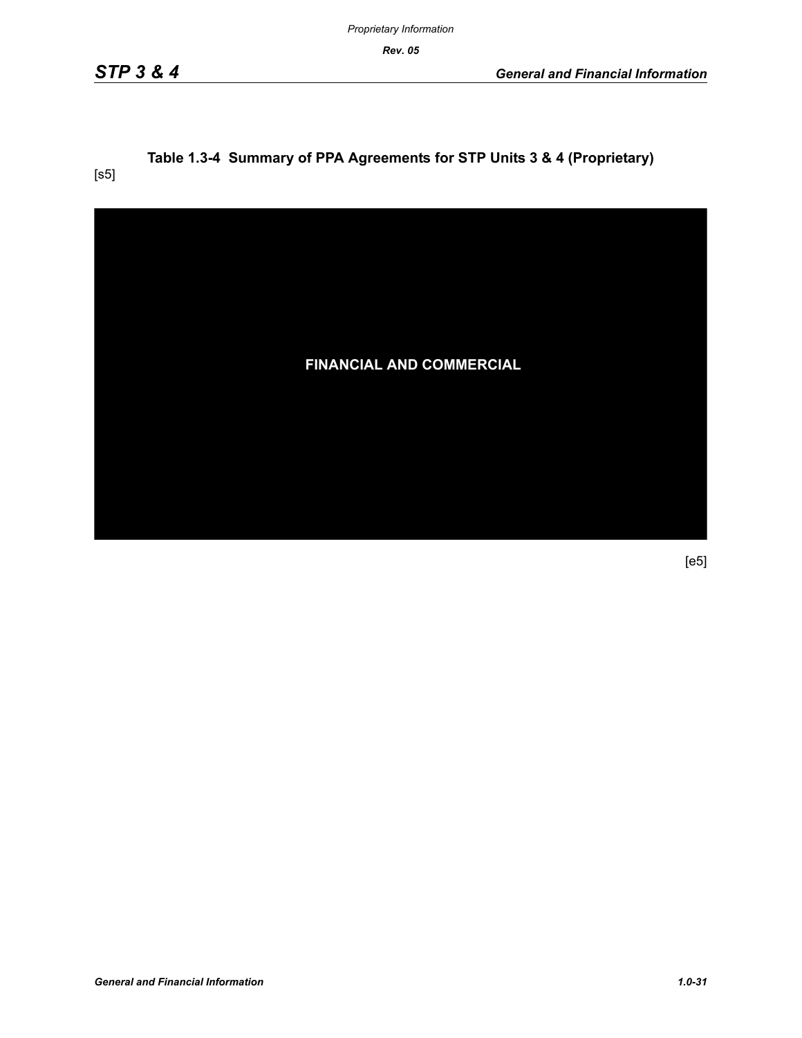*Proprietary Information*

*Rev. 05*

# **Table 1.3-4 Summary of PPA Agreements for STP Units 3 & 4 (Proprietary)**

[s5]

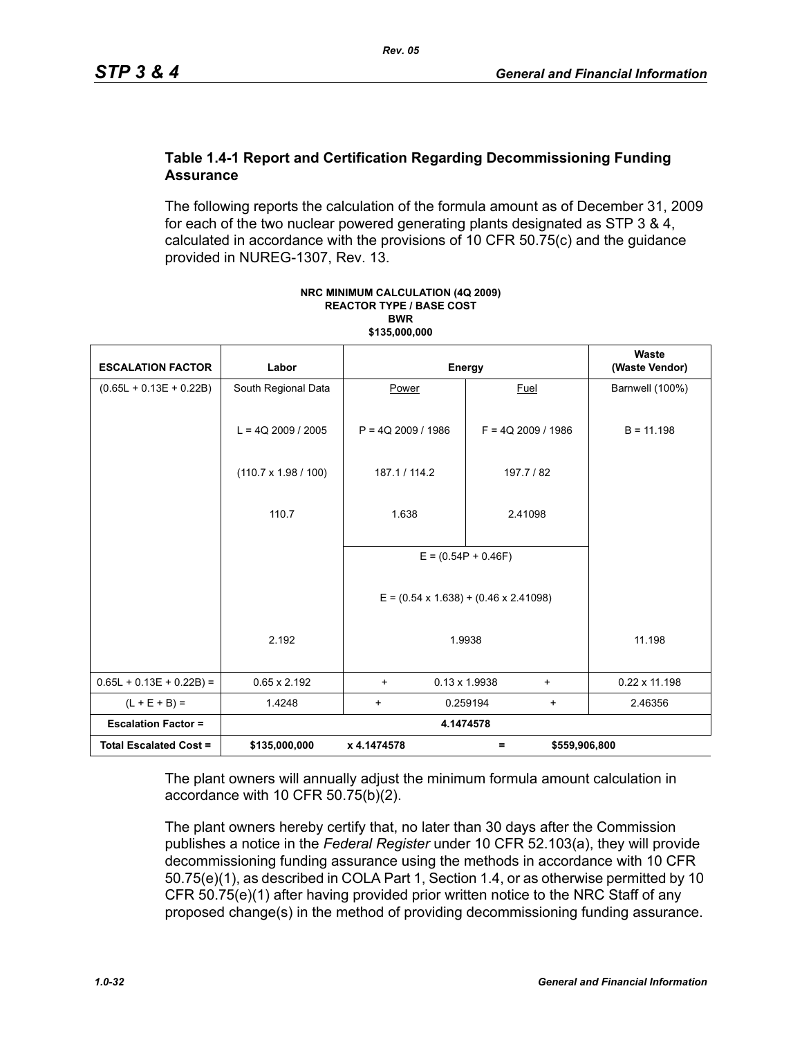#### **Table 1.4-1 Report and Certification Regarding Decommissioning Funding Assurance**

The following reports the calculation of the formula amount as of December 31, 2009 for each of the two nuclear powered generating plants designated as STP 3 & 4, calculated in accordance with the provisions of 10 CFR 50.75(c) and the guidance provided in NUREG-1307, Rev. 13.

| <b>ESCALATION FACTOR</b>      | Labor                       | Energy               |                                                   | Waste<br>(Waste Vendor) |
|-------------------------------|-----------------------------|----------------------|---------------------------------------------------|-------------------------|
| $(0.65L + 0.13E + 0.22B)$     | South Regional Data         | Power                | Fuel                                              | Barnwell (100%)         |
|                               | $L = 4Q$ 2009 / 2005        | $P = 4Q$ 2009 / 1986 | $F = 4Q$ 2009 / 1986                              | $B = 11.198$            |
|                               |                             |                      |                                                   |                         |
|                               | $(110.7 \times 1.98 / 100)$ | 187.1 / 114.2        | 197.7 / 82                                        |                         |
|                               | 110.7                       | 1.638                | 2.41098                                           |                         |
|                               |                             |                      | $E = (0.54P + 0.46F)$                             |                         |
|                               |                             |                      | $E = (0.54 \times 1.638) + (0.46 \times 2.41098)$ |                         |
|                               | 2.192                       |                      | 1.9938                                            | 11.198                  |
| $0.65L + 0.13E + 0.22B$ =     | $0.65 \times 2.192$         | $\ddot{}$            | $0.13 \times 1.9938$<br>$\ddot{}$                 | $0.22 \times 11.198$    |
| $(L + E + B) =$               | 1.4248                      | $\ddot{}$            | 0.259194<br>$\ddot{}$                             | 2.46356                 |
| <b>Escalation Factor =</b>    |                             |                      | 4.1474578                                         |                         |
| <b>Total Escalated Cost =</b> | \$135,000,000               | x 4.1474578          | \$559,906,800<br>Ξ                                |                         |

#### **NRC MINIMUM CALCULATION (4Q 2009) REACTOR TYPE / BASE COST BWR \$135,000,000**

The plant owners will annually adjust the minimum formula amount calculation in accordance with 10 CFR 50.75(b)(2).

The plant owners hereby certify that, no later than 30 days after the Commission publishes a notice in the *Federal Register* under 10 CFR 52.103(a), they will provide decommissioning funding assurance using the methods in accordance with 10 CFR 50.75(e)(1), as described in COLA Part 1, Section 1.4, or as otherwise permitted by 10 CFR 50.75(e)(1) after having provided prior written notice to the NRC Staff of any proposed change(s) in the method of providing decommissioning funding assurance.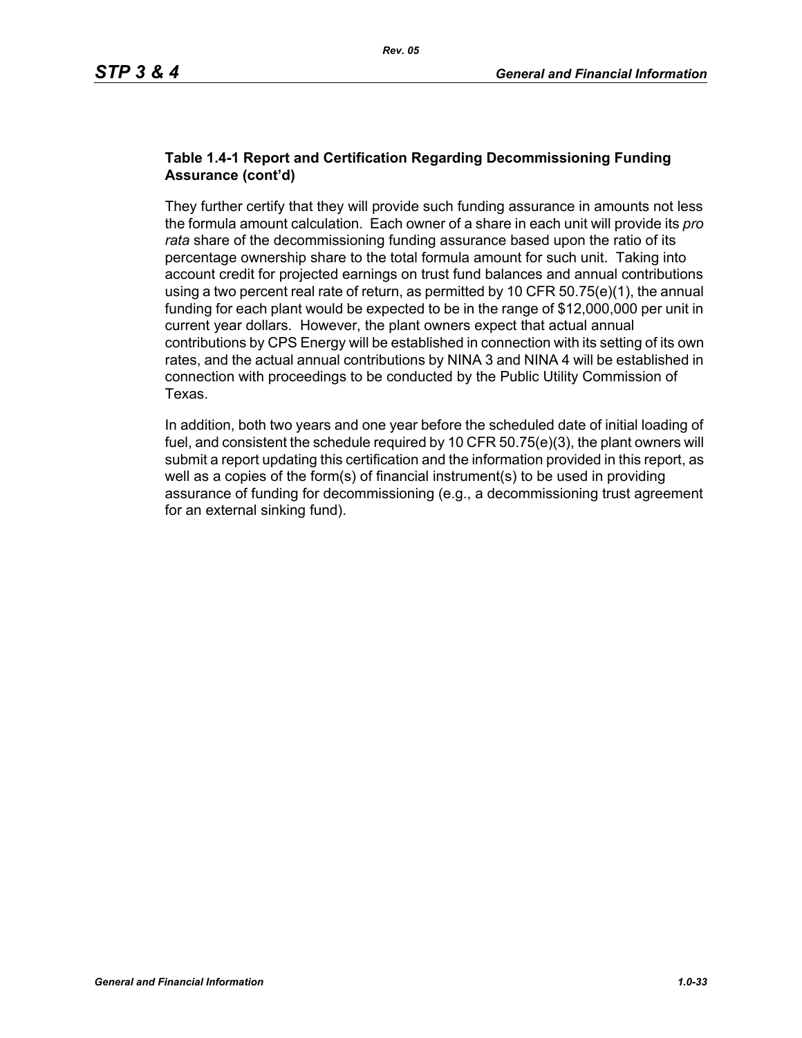#### **Table 1.4-1 Report and Certification Regarding Decommissioning Funding Assurance (cont'd)**

They further certify that they will provide such funding assurance in amounts not less the formula amount calculation. Each owner of a share in each unit will provide its *pro rata* share of the decommissioning funding assurance based upon the ratio of its percentage ownership share to the total formula amount for such unit. Taking into account credit for projected earnings on trust fund balances and annual contributions using a two percent real rate of return, as permitted by 10 CFR  $50.75(e)(1)$ , the annual funding for each plant would be expected to be in the range of \$12,000,000 per unit in current year dollars. However, the plant owners expect that actual annual contributions by CPS Energy will be established in connection with its setting of its own rates, and the actual annual contributions by NINA 3 and NINA 4 will be established in connection with proceedings to be conducted by the Public Utility Commission of Texas.

In addition, both two years and one year before the scheduled date of initial loading of fuel, and consistent the schedule required by 10 CFR 50.75(e)(3), the plant owners will submit a report updating this certification and the information provided in this report, as well as a copies of the form(s) of financial instrument(s) to be used in providing assurance of funding for decommissioning (e.g., a decommissioning trust agreement for an external sinking fund).